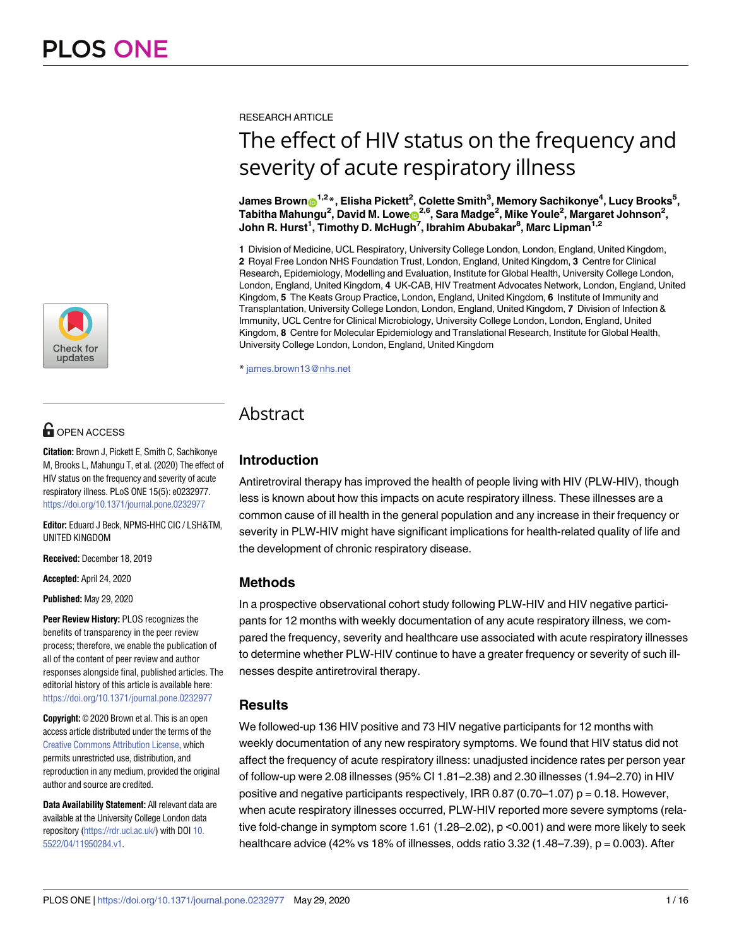

## $\blacksquare$  OPEN ACCESS

**Citation:** Brown J, Pickett E, Smith C, Sachikonye M, Brooks L, Mahungu T, et al. (2020) The effect of HIV status on the frequency and severity of acute respiratory illness. PLoS ONE 15(5): e0232977. <https://doi.org/10.1371/journal.pone.0232977>

**Editor:** Eduard J Beck, NPMS-HHC CIC / LSH&TM, UNITED KINGDOM

**Received:** December 18, 2019

**Accepted:** April 24, 2020

**Published:** May 29, 2020

**Peer Review History:** PLOS recognizes the benefits of transparency in the peer review process; therefore, we enable the publication of all of the content of peer review and author responses alongside final, published articles. The editorial history of this article is available here: <https://doi.org/10.1371/journal.pone.0232977>

**Copyright:** © 2020 Brown et al. This is an open access article distributed under the terms of the Creative Commons [Attribution](http://creativecommons.org/licenses/by/4.0/) License, which permits unrestricted use, distribution, and reproduction in any medium, provided the original author and source are credited.

**Data Availability Statement:** All relevant data are available at the University College London data repository [\(https://rdr.ucl.ac.uk/\)](https://rdr.ucl.ac.uk/) with DOI [10.](http://dx.doi.org/10.5522/04/11950284.v1) [5522/04/11950284.v1](http://dx.doi.org/10.5522/04/11950284.v1).

RESEARCH ARTICLE

# The effect of HIV status on the frequency and severity of acute respiratory illness

 ${\sf James~Brown}$   $\bullet$   $^{1,2}$   $*$  ,  ${\sf Elisha~Pickett}^2$  ,  ${\sf Colette~Smith}^3$  ,  ${\sf Memory~Sachikonye}^4$  ,  ${\sf Lucy~Brooks}^5$  ,  $\mathbf{S} = \mathbf{S}$  **Partles M.** Indeeds of a same  $\mathbf{S}^{2,6}$ , Sara Madge<sup>2</sup>, Mike Youle<sup>2</sup>, Margaret Johnson<sup>2</sup>, **John R. Hurst1 , Timothy D. McHugh7 , Ibrahim Abubakar8 , Marc Lipman1,2**

**1** Division of Medicine, UCL Respiratory, University College London, London, England, United Kingdom, **2** Royal Free London NHS Foundation Trust, London, England, United Kingdom, **3** Centre for Clinical Research, Epidemiology, Modelling and Evaluation, Institute for Global Health, University College London, London, England, United Kingdom, **4** UK-CAB, HIV Treatment Advocates Network, London, England, United Kingdom, **5** The Keats Group Practice, London, England, United Kingdom, **6** Institute of Immunity and Transplantation, University College London, London, England, United Kingdom, **7** Division of Infection & Immunity, UCL Centre for Clinical Microbiology, University College London, London, England, United Kingdom, **8** Centre for Molecular Epidemiology and Translational Research, Institute for Global Health, University College London, London, England, United Kingdom

\* james.brown13@nhs.net

## Abstract

## **Introduction**

Antiretroviral therapy has improved the health of people living with HIV (PLW-HIV), though less is known about how this impacts on acute respiratory illness. These illnesses are a common cause of ill health in the general population and any increase in their frequency or severity in PLW-HIV might have significant implications for health-related quality of life and the development of chronic respiratory disease.

## **Methods**

In a prospective observational cohort study following PLW-HIV and HIV negative participants for 12 months with weekly documentation of any acute respiratory illness, we compared the frequency, severity and healthcare use associated with acute respiratory illnesses to determine whether PLW-HIV continue to have a greater frequency or severity of such illnesses despite antiretroviral therapy.

## **Results**

We followed-up 136 HIV positive and 73 HIV negative participants for 12 months with weekly documentation of any new respiratory symptoms. We found that HIV status did not affect the frequency of acute respiratory illness: unadjusted incidence rates per person year of follow-up were 2.08 illnesses (95% CI 1.81–2.38) and 2.30 illnesses (1.94–2.70) in HIV positive and negative participants respectively, IRR 0.87 (0.70–1.07)  $p = 0.18$ . However, when acute respiratory illnesses occurred, PLW-HIV reported more severe symptoms (relative fold-change in symptom score 1.61 (1.28–2.02), p <0.001) and were more likely to seek healthcare advice  $(42\% \text{ vs } 18\% \text{ of illness})$ , odds ratio 3.32  $(1.48-7.39)$ , p = 0.003). After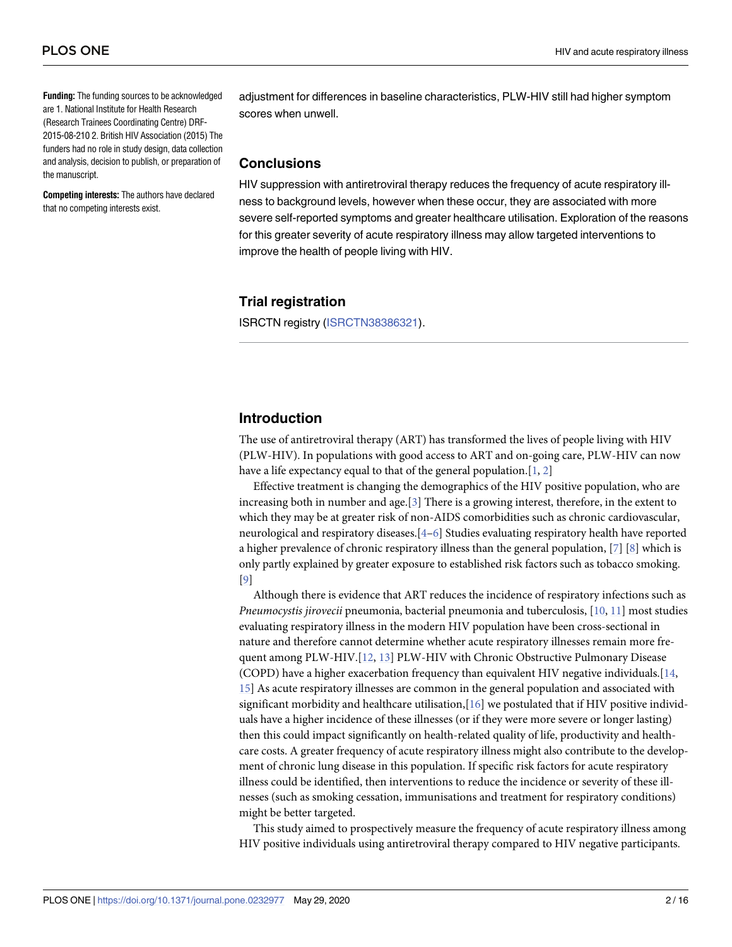<span id="page-1-0"></span>**Funding:** The funding sources to be acknowledged are 1. National Institute for Health Research (Research Trainees Coordinating Centre) DRF-2015-08-210 2. British HIV Association (2015) The funders had no role in study design, data collection and analysis, decision to publish, or preparation of the manuscript.

**Competing interests:** The authors have declared that no competing interests exist.

adjustment for differences in baseline characteristics, PLW-HIV still had higher symptom scores when unwell.

## **Conclusions**

HIV suppression with antiretroviral therapy reduces the frequency of acute respiratory illness to background levels, however when these occur, they are associated with more severe self-reported symptoms and greater healthcare utilisation. Exploration of the reasons for this greater severity of acute respiratory illness may allow targeted interventions to improve the health of people living with HIV.

#### **Trial registration**

ISRCTN registry [\(ISRCTN38386321\)](http://www.isrctn.com/ISRCTN38386321).

## **Introduction**

The use of antiretroviral therapy (ART) has transformed the lives of people living with HIV (PLW-HIV). In populations with good access to ART and on-going care, PLW-HIV can now have a life expectancy equal to that of the general population. [\[1,](#page-13-0) [2](#page-13-0)]

Effective treatment is changing the demographics of the HIV positive population, who are increasing both in number and age.[[3](#page-13-0)] There is a growing interest, therefore, in the extent to which they may be at greater risk of non-AIDS comorbidities such as chronic cardiovascular, neurological and respiratory diseases.[\[4–6\]](#page-13-0) Studies evaluating respiratory health have reported a higher prevalence of chronic respiratory illness than the general population, [\[7\]](#page-13-0) [[8\]](#page-13-0) which is only partly explained by greater exposure to established risk factors such as tobacco smoking. [\[9](#page-13-0)]

Although there is evidence that ART reduces the incidence of respiratory infections such as *Pneumocystis jirovecii* pneumonia, bacterial pneumonia and tuberculosis, [[10](#page-14-0), [11](#page-14-0)] most studies evaluating respiratory illness in the modern HIV population have been cross-sectional in nature and therefore cannot determine whether acute respiratory illnesses remain more frequent among PLW-HIV.[[12](#page-14-0), [13](#page-14-0)] PLW-HIV with Chronic Obstructive Pulmonary Disease (COPD) have a higher exacerbation frequency than equivalent HIV negative individuals.[[14](#page-14-0), [15\]](#page-14-0) As acute respiratory illnesses are common in the general population and associated with significant morbidity and healthcare utilisation,  $[16]$  $[16]$  $[16]$  we postulated that if HIV positive individuals have a higher incidence of these illnesses (or if they were more severe or longer lasting) then this could impact significantly on health-related quality of life, productivity and healthcare costs. A greater frequency of acute respiratory illness might also contribute to the development of chronic lung disease in this population. If specific risk factors for acute respiratory illness could be identified, then interventions to reduce the incidence or severity of these illnesses (such as smoking cessation, immunisations and treatment for respiratory conditions) might be better targeted.

This study aimed to prospectively measure the frequency of acute respiratory illness among HIV positive individuals using antiretroviral therapy compared to HIV negative participants.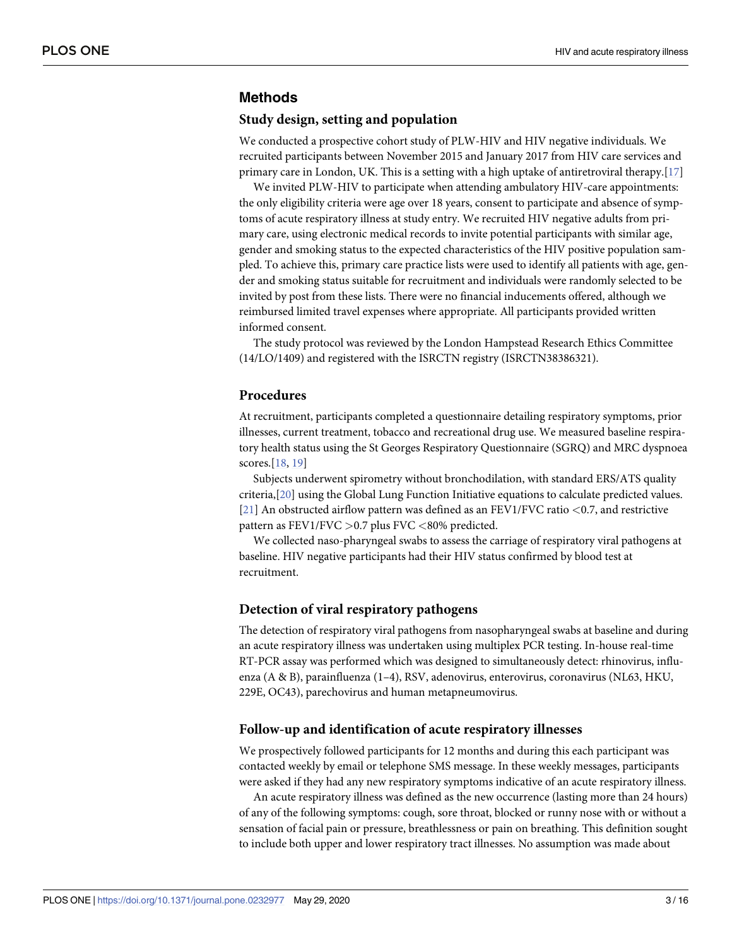## <span id="page-2-0"></span>**Methods**

#### **Study design, setting and population**

We conducted a prospective cohort study of PLW-HIV and HIV negative individuals. We recruited participants between November 2015 and January 2017 from HIV care services and primary care in London, UK. This is a setting with a high uptake of antiretroviral therapy.[\[17\]](#page-14-0)

We invited PLW-HIV to participate when attending ambulatory HIV-care appointments: the only eligibility criteria were age over 18 years, consent to participate and absence of symptoms of acute respiratory illness at study entry. We recruited HIV negative adults from primary care, using electronic medical records to invite potential participants with similar age, gender and smoking status to the expected characteristics of the HIV positive population sampled. To achieve this, primary care practice lists were used to identify all patients with age, gender and smoking status suitable for recruitment and individuals were randomly selected to be invited by post from these lists. There were no financial inducements offered, although we reimbursed limited travel expenses where appropriate. All participants provided written informed consent.

The study protocol was reviewed by the London Hampstead Research Ethics Committee (14/LO/1409) and registered with the ISRCTN registry (ISRCTN38386321).

## **Procedures**

At recruitment, participants completed a questionnaire detailing respiratory symptoms, prior illnesses, current treatment, tobacco and recreational drug use. We measured baseline respiratory health status using the St Georges Respiratory Questionnaire (SGRQ) and MRC dyspnoea scores.[\[18,](#page-14-0) [19\]](#page-14-0)

Subjects underwent spirometry without bronchodilation, with standard ERS/ATS quality criteria,[\[20\]](#page-14-0) using the Global Lung Function Initiative equations to calculate predicted values. [\[21\]](#page-14-0) An obstructed airflow pattern was defined as an FEV1/FVC ratio *<*0.7, and restrictive pattern as FEV1/FVC *>*0.7 plus FVC *<*80% predicted.

We collected naso-pharyngeal swabs to assess the carriage of respiratory viral pathogens at baseline. HIV negative participants had their HIV status confirmed by blood test at recruitment.

#### **Detection of viral respiratory pathogens**

The detection of respiratory viral pathogens from nasopharyngeal swabs at baseline and during an acute respiratory illness was undertaken using multiplex PCR testing. In-house real-time RT-PCR assay was performed which was designed to simultaneously detect: rhinovirus, influenza (A & B), parainfluenza (1–4), RSV, adenovirus, enterovirus, coronavirus (NL63, HKU, 229E, OC43), parechovirus and human metapneumovirus.

#### **Follow-up and identification of acute respiratory illnesses**

We prospectively followed participants for 12 months and during this each participant was contacted weekly by email or telephone SMS message. In these weekly messages, participants were asked if they had any new respiratory symptoms indicative of an acute respiratory illness.

An acute respiratory illness was defined as the new occurrence (lasting more than 24 hours) of any of the following symptoms: cough, sore throat, blocked or runny nose with or without a sensation of facial pain or pressure, breathlessness or pain on breathing. This definition sought to include both upper and lower respiratory tract illnesses. No assumption was made about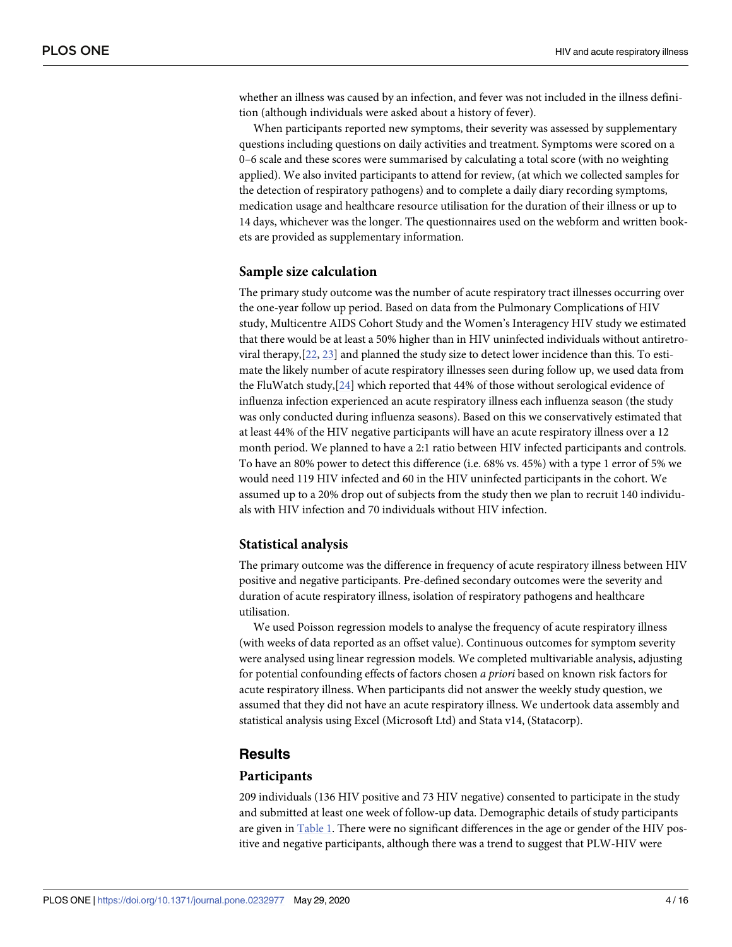<span id="page-3-0"></span>whether an illness was caused by an infection, and fever was not included in the illness definition (although individuals were asked about a history of fever).

When participants reported new symptoms, their severity was assessed by supplementary questions including questions on daily activities and treatment. Symptoms were scored on a 0–6 scale and these scores were summarised by calculating a total score (with no weighting applied). We also invited participants to attend for review, (at which we collected samples for the detection of respiratory pathogens) and to complete a daily diary recording symptoms, medication usage and healthcare resource utilisation for the duration of their illness or up to 14 days, whichever was the longer. The questionnaires used on the webform and written bookets are provided as supplementary information.

#### **Sample size calculation**

The primary study outcome was the number of acute respiratory tract illnesses occurring over the one-year follow up period. Based on data from the Pulmonary Complications of HIV study, Multicentre AIDS Cohort Study and the Women's Interagency HIV study we estimated that there would be at least a 50% higher than in HIV uninfected individuals without antiretroviral therapy,[[22](#page-14-0), [23](#page-14-0)] and planned the study size to detect lower incidence than this. To estimate the likely number of acute respiratory illnesses seen during follow up, we used data from the FluWatch study,[[24](#page-14-0)] which reported that 44% of those without serological evidence of influenza infection experienced an acute respiratory illness each influenza season (the study was only conducted during influenza seasons). Based on this we conservatively estimated that at least 44% of the HIV negative participants will have an acute respiratory illness over a 12 month period. We planned to have a 2:1 ratio between HIV infected participants and controls. To have an 80% power to detect this difference (i.e. 68% vs. 45%) with a type 1 error of 5% we would need 119 HIV infected and 60 in the HIV uninfected participants in the cohort. We assumed up to a 20% drop out of subjects from the study then we plan to recruit 140 individuals with HIV infection and 70 individuals without HIV infection.

#### **Statistical analysis**

The primary outcome was the difference in frequency of acute respiratory illness between HIV positive and negative participants. Pre-defined secondary outcomes were the severity and duration of acute respiratory illness, isolation of respiratory pathogens and healthcare utilisation.

We used Poisson regression models to analyse the frequency of acute respiratory illness (with weeks of data reported as an offset value). Continuous outcomes for symptom severity were analysed using linear regression models. We completed multivariable analysis, adjusting for potential confounding effects of factors chosen *a priori* based on known risk factors for acute respiratory illness. When participants did not answer the weekly study question, we assumed that they did not have an acute respiratory illness. We undertook data assembly and statistical analysis using Excel (Microsoft Ltd) and Stata v14, (Statacorp).

## **Results**

#### **Participants**

209 individuals (136 HIV positive and 73 HIV negative) consented to participate in the study and submitted at least one week of follow-up data. Demographic details of study participants are given in [Table](#page-4-0) 1. There were no significant differences in the age or gender of the HIV positive and negative participants, although there was a trend to suggest that PLW-HIV were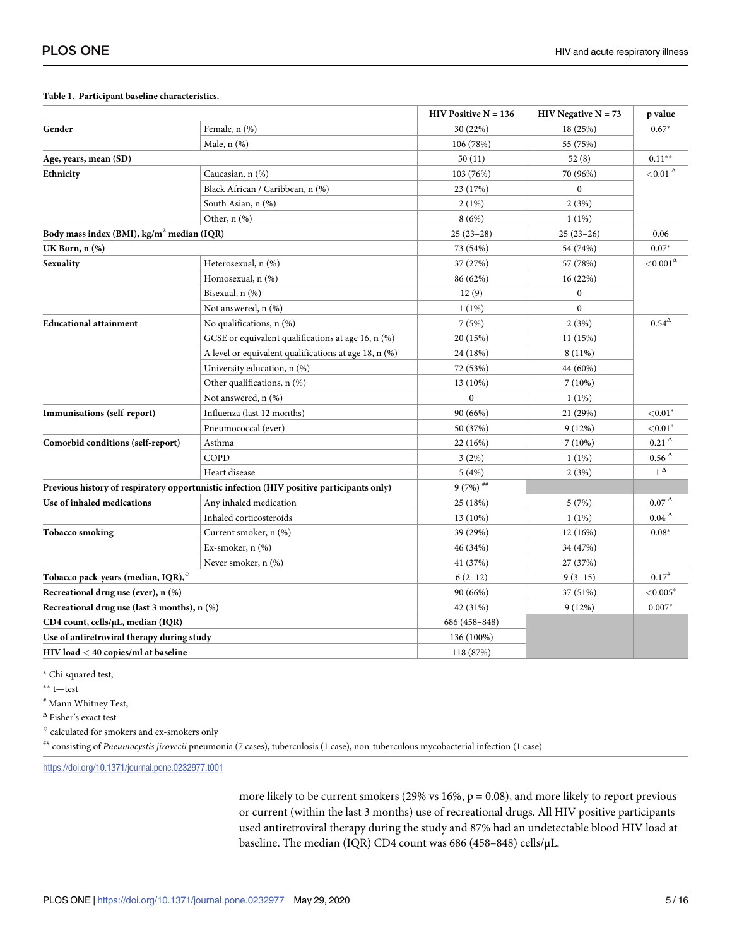|                                                                                          |                                                       | $HIV$ Positive $N = 136$ | <b>HIV Negative N</b> = $73$ | p value               |  |
|------------------------------------------------------------------------------------------|-------------------------------------------------------|--------------------------|------------------------------|-----------------------|--|
| Gender                                                                                   | Female, n (%)                                         | 30 (22%)                 | 18 (25%)                     | $0.67*$               |  |
|                                                                                          | Male, $n$ $(\%)$                                      | 106 (78%)                | 55 (75%)                     |                       |  |
| Age, years, mean (SD)                                                                    |                                                       | 50(11)                   | 52(8)                        | $0.11***$             |  |
| Ethnicity                                                                                | Caucasian, n (%)                                      | 103 (76%)                | 70 (96%)                     | ${<}0.01$ $^{\Delta}$ |  |
|                                                                                          | Black African / Caribbean, n (%)                      | 23 (17%)                 | $\Omega$                     |                       |  |
|                                                                                          | South Asian, n (%)                                    | 2(1%)                    | 2(3%)                        |                       |  |
|                                                                                          | Other, $n$ $%$                                        | 8(6%)                    | 1(1%)                        |                       |  |
| Body mass index (BMI), kg/m <sup>2</sup> median (IQR)                                    |                                                       | $25(23-28)$              | $25(23-26)$                  | 0.06                  |  |
| UK Born, n (%)                                                                           |                                                       | 73 (54%)                 | 54 (74%)                     | $0.07*$               |  |
| <b>Sexuality</b>                                                                         | Heterosexual, n (%)                                   | 37 (27%)                 | 57 (78%)                     | ${<}0.001^{\Delta}$   |  |
|                                                                                          | Homosexual, n (%)                                     | 86 (62%)                 | 16(22%)                      |                       |  |
|                                                                                          | Bisexual, n (%)                                       | 12(9)                    | 0                            |                       |  |
|                                                                                          | Not answered, n (%)                                   | 1(1%)                    | $\boldsymbol{0}$             |                       |  |
| <b>Educational attainment</b>                                                            | No qualifications, n (%)                              | 7(5%)                    | 2(3%)                        | $0.54^{\Delta}$       |  |
|                                                                                          | GCSE or equivalent qualifications at age 16, n (%)    | 20 (15%)                 | 11 (15%)                     |                       |  |
|                                                                                          | A level or equivalent qualifications at age 18, n (%) | 24 (18%)<br>$8(11\%)$    |                              |                       |  |
|                                                                                          | University education, n (%)                           | 72 (53%)                 | 44 (60%)                     |                       |  |
|                                                                                          | Other qualifications, n (%)                           | 13 (10%)                 | $7(10\%)$                    |                       |  |
|                                                                                          | Not answered, n (%)                                   | $\mathbf{0}$             | $1(1\%)$                     |                       |  |
| Immunisations (self-report)                                                              | Influenza (last 12 months)                            | 90 (66%)                 | 21 (29%)                     | ${<}0.01*$            |  |
|                                                                                          | Pneumococcal (ever)                                   | 50 (37%)                 | 9(12%)                       | ${<}0.01*$            |  |
| Comorbid conditions (self-report)                                                        | Asthma                                                | 22 (16%)                 | 7(10%)                       | $0.21 \Delta$         |  |
|                                                                                          | COPD                                                  | 3(2%)<br>$1(1\%)$        |                              | $0.56 \triangleq$     |  |
|                                                                                          | Heart disease                                         | 5(4%)                    | 2(3%)                        | $1$ $^{\Delta}$       |  |
| Previous history of respiratory opportunistic infection (HIV positive participants only) |                                                       | $9(7%)$ <sup>##</sup>    |                              |                       |  |
| Use of inhaled medications                                                               | Any inhaled medication                                | 25 (18%)                 | 5(7%)                        | $0.07$ $^{\Delta}$    |  |
|                                                                                          | Inhaled corticosteroids                               | 13 (10%)                 | $1(1\%)$                     | $0.04^{\Delta}$       |  |
| <b>Tobacco smoking</b>                                                                   | Current smoker, n (%)                                 | 39 (29%)                 | 12 (16%)                     | $0.08*$               |  |
|                                                                                          | Ex-smoker, n (%)                                      | 46 (34%)                 | 34 (47%)                     |                       |  |
|                                                                                          | Never smoker, n (%)                                   | 41 (37%)                 | 27 (37%)                     |                       |  |
| Tobacco pack-years (median, IQR), $\Diamond$                                             |                                                       | $6(2-12)$                | $9(3-15)$                    | $0.17^{#}$            |  |
| Recreational drug use (ever), n (%)                                                      |                                                       | 90 (66%)                 | 37 (51%)                     | $< 0.005*$            |  |
| Recreational drug use (last 3 months), n (%)                                             |                                                       | 42 (31%)                 | 9(12%)                       | $0.007*$              |  |
| CD4 count, cells/µL, median (IQR)                                                        |                                                       |                          |                              |                       |  |
| Use of antiretroviral therapy during study                                               |                                                       | 136 (100%)               |                              |                       |  |
| $HIV$ load $<$ 40 copies/ml at baseline                                                  |                                                       | 118 (87%)                |                              |                       |  |

#### <span id="page-4-0"></span>**[Table](#page-3-0) 1. Participant baseline characteristics.**

 $^\ast$  Chi squared test,

 $^{**}$ t—test

# Mann Whitney Test,

 $^{\Delta}$  Fisher's exact test

 $^\diamond$  calculated for smokers and ex-smokers only

## consisting of *Pneumocystis jirovecii* pneumonia (7 cases), tuberculosis (1 case), non-tuberculous mycobacterial infection (1 case)

<https://doi.org/10.1371/journal.pone.0232977.t001>

more likely to be current smokers (29% vs 16%,  $p = 0.08$ ), and more likely to report previous or current (within the last 3 months) use of recreational drugs. All HIV positive participants used antiretroviral therapy during the study and 87% had an undetectable blood HIV load at baseline. The median (IQR) CD4 count was 686 (458–848) cells/μL.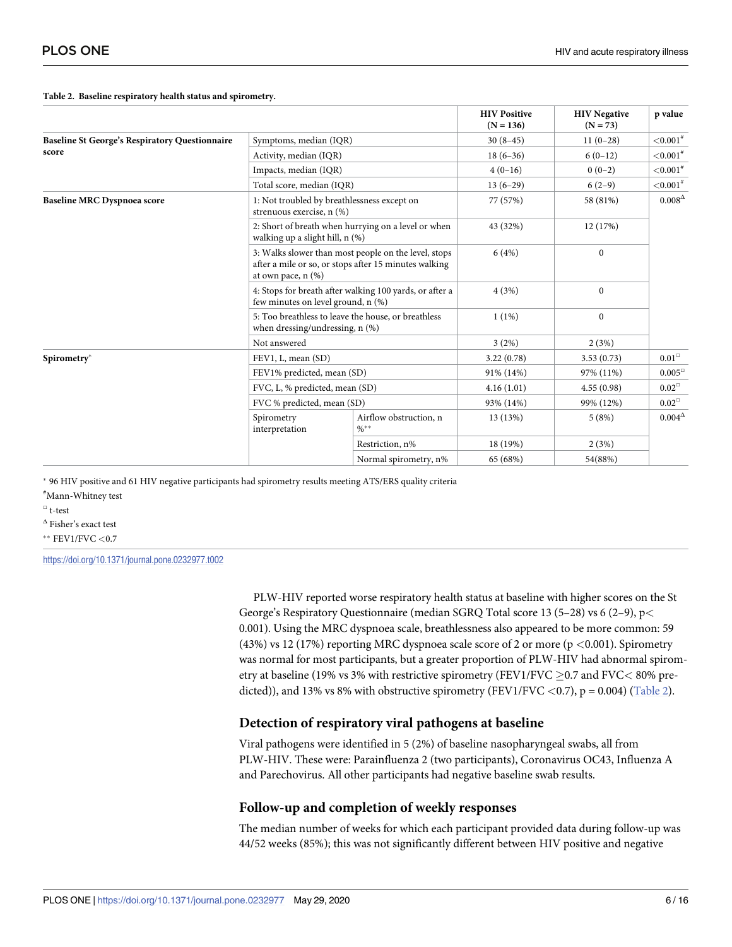#### **Table 2. Baseline respiratory health status and spirometry.**

|                                                       |                                                                                                                                          |                                            | <b>HIV Positive</b><br>$(N = 136)$ | <b>HIV Negative</b><br>$(N = 73)$ | p value                  |
|-------------------------------------------------------|------------------------------------------------------------------------------------------------------------------------------------------|--------------------------------------------|------------------------------------|-----------------------------------|--------------------------|
| <b>Baseline St George's Respiratory Questionnaire</b> | Symptoms, median (IQR)                                                                                                                   |                                            | $30(8-45)$                         | $11(0-28)$                        | ${<}0.001^{\#}$          |
| score                                                 | Activity, median (IQR)                                                                                                                   |                                            | $18(6-36)$                         | $6(0-12)$                         | ${<}0.001^{\texttt{\#}}$ |
|                                                       | Impacts, median (IQR)                                                                                                                    |                                            | $4(0-16)$                          | $0(0-2)$                          | ${<}0.001^{\texttt{\#}}$ |
|                                                       | Total score, median (IQR)                                                                                                                |                                            | $13(6-29)$                         | $6(2-9)$                          | ${<}0.001^{\#}$          |
| <b>Baseline MRC Dyspnoea score</b>                    | 1: Not troubled by breathlessness except on<br>strenuous exercise, n (%)                                                                 |                                            | 77 (57%)                           | 58 (81%)                          | $0.008^{\Delta}$         |
|                                                       | 2: Short of breath when hurrying on a level or when<br>walking up a slight hill, n (%)                                                   |                                            | 43 (32%)                           | 12 (17%)                          |                          |
|                                                       | 3: Walks slower than most people on the level, stops<br>after a mile or so, or stops after 15 minutes walking<br>at own pace, $n$ $(\%)$ |                                            | 6(4%)                              | $\mathbf{0}$                      |                          |
|                                                       | 4: Stops for breath after walking 100 yards, or after a<br>few minutes on level ground, n (%)                                            |                                            | 4(3%)                              | $\mathbf{0}$                      |                          |
|                                                       | 5: Too breathless to leave the house, or breathless<br>when dressing/undressing, $n$ (%)                                                 |                                            | $1(1\%)$                           | $\boldsymbol{0}$                  |                          |
|                                                       | Not answered                                                                                                                             |                                            | 3(2%)                              | 2(3%)                             |                          |
| Spirometry*                                           | FEV1, L, mean (SD)                                                                                                                       |                                            | 3.22(0.78)                         | 3.53(0.73)                        | $0.01^\square$           |
|                                                       | FEV1% predicted, mean (SD)                                                                                                               |                                            | 91% (14%)                          | 97% (11%)                         | $0.005^{\circ}$          |
|                                                       | FVC, L, % predicted, mean (SD)                                                                                                           |                                            | 4.16(1.01)                         | 4.55(0.98)                        | $0.02^\square$           |
|                                                       | FVC % predicted, mean (SD)                                                                                                               |                                            | 93% (14%)                          | 99% (12%)                         | $0.02^{\square}$         |
|                                                       | Spirometry<br>interpretation                                                                                                             | Airflow obstruction, n<br>$\frac{0}{6}$ ** | 13 (13%)                           | 5(8%)                             | $0.004^{\Delta}$         |
|                                                       |                                                                                                                                          | Restriction, n%                            | 18 (19%)                           | 2(3%)                             |                          |
|                                                       |                                                                                                                                          | Normal spirometry, n%                      | 65 (68%)                           | 54(88%)                           |                          |

� 96 HIV positive and 61 HIV negative participants had spirometry results meeting ATS/ERS quality criteria

# Mann-Whitney test

 $\overline{ }$  t-test

<sup>Δ</sup> Fisher's exact test

�� FEV1/FVC *<*0.7

<https://doi.org/10.1371/journal.pone.0232977.t002>

PLW-HIV reported worse respiratory health status at baseline with higher scores on the St George's Respiratory Questionnaire (median SGRQ Total score 13 (5–28) vs 6 (2–9), p*<* 0.001). Using the MRC dyspnoea scale, breathlessness also appeared to be more common: 59 (43%) vs 12 (17%) reporting MRC dyspnoea scale score of 2 or more (p *<*0.001). Spirometry was normal for most participants, but a greater proportion of PLW-HIV had abnormal spirometry at baseline (19% vs 3% with restrictive spirometry (FEV1/FVC  $\geq$  0.7 and FVC $<$  80% predicted)), and 13% vs 8% with obstructive spirometry (FEV1/FVC *<*0.7), p = 0.004) (Table 2).

#### **Detection of respiratory viral pathogens at baseline**

Viral pathogens were identified in 5 (2%) of baseline nasopharyngeal swabs, all from PLW-HIV. These were: Parainfluenza 2 (two participants), Coronavirus OC43, Influenza A and Parechovirus. All other participants had negative baseline swab results.

#### **Follow-up and completion of weekly responses**

The median number of weeks for which each participant provided data during follow-up was 44/52 weeks (85%); this was not significantly different between HIV positive and negative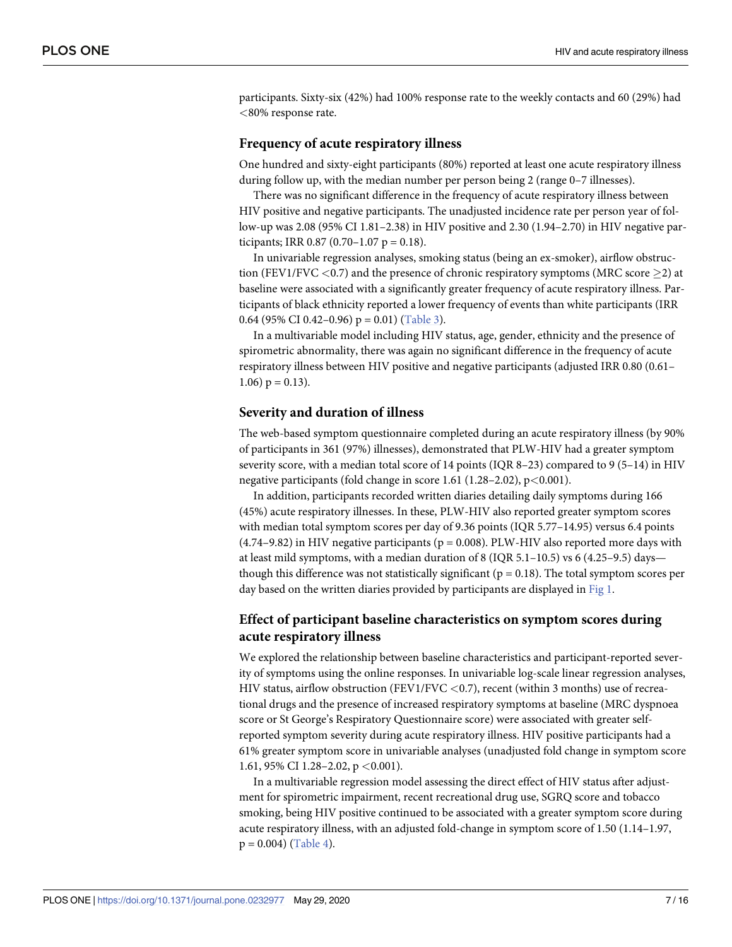<span id="page-6-0"></span>participants. Sixty-six (42%) had 100% response rate to the weekly contacts and 60 (29%) had *<*80% response rate.

#### **Frequency of acute respiratory illness**

One hundred and sixty-eight participants (80%) reported at least one acute respiratory illness during follow up, with the median number per person being 2 (range 0–7 illnesses).

There was no significant difference in the frequency of acute respiratory illness between HIV positive and negative participants. The unadjusted incidence rate per person year of follow-up was 2.08 (95% CI 1.81–2.38) in HIV positive and 2.30 (1.94–2.70) in HIV negative participants; IRR 0.87 (0.70–1.07  $p = 0.18$ ).

In univariable regression analyses, smoking status (being an ex-smoker), airflow obstruction (FEV1/FVC *<*0.7) and the presence of chronic respiratory symptoms (MRC score �2) at baseline were associated with a significantly greater frequency of acute respiratory illness. Participants of black ethnicity reported a lower frequency of events than white participants (IRR 0.64 (95% CI 0.42–0.96)  $p = 0.01$ ) [\(Table](#page-7-0) 3).

In a multivariable model including HIV status, age, gender, ethnicity and the presence of spirometric abnormality, there was again no significant difference in the frequency of acute respiratory illness between HIV positive and negative participants (adjusted IRR 0.80 (0.61– 1.06)  $p = 0.13$ ).

#### **Severity and duration of illness**

The web-based symptom questionnaire completed during an acute respiratory illness (by 90% of participants in 361 (97%) illnesses), demonstrated that PLW-HIV had a greater symptom severity score, with a median total score of 14 points (IQR 8–23) compared to 9 (5–14) in HIV negative participants (fold change in score 1.61 (1.28–2.02), p*<*0.001).

In addition, participants recorded written diaries detailing daily symptoms during 166 (45%) acute respiratory illnesses. In these, PLW-HIV also reported greater symptom scores with median total symptom scores per day of 9.36 points (IQR 5.77–14.95) versus 6.4 points  $(4.74-9.82)$  in HIV negative participants ( $p = 0.008$ ). PLW-HIV also reported more days with at least mild symptoms, with a median duration of 8 (IQR 5.1–10.5) vs 6 (4.25–9.5) days though this difference was not statistically significant ( $p = 0.18$ ). The total symptom scores per day based on the written diaries provided by participants are displayed in [Fig](#page-8-0) 1.

## **Effect of participant baseline characteristics on symptom scores during acute respiratory illness**

We explored the relationship between baseline characteristics and participant-reported severity of symptoms using the online responses. In univariable log-scale linear regression analyses, HIV status, airflow obstruction (FEV1/FVC *<*0.7), recent (within 3 months) use of recreational drugs and the presence of increased respiratory symptoms at baseline (MRC dyspnoea score or St George's Respiratory Questionnaire score) were associated with greater selfreported symptom severity during acute respiratory illness. HIV positive participants had a 61% greater symptom score in univariable analyses (unadjusted fold change in symptom score 1.61, 95% CI 1.28–2.02, p *<*0.001).

In a multivariable regression model assessing the direct effect of HIV status after adjustment for spirometric impairment, recent recreational drug use, SGRQ score and tobacco smoking, being HIV positive continued to be associated with a greater symptom score during acute respiratory illness, with an adjusted fold-change in symptom score of 1.50 (1.14–1.97,  $p = 0.004$ ) ([Table](#page-9-0) 4).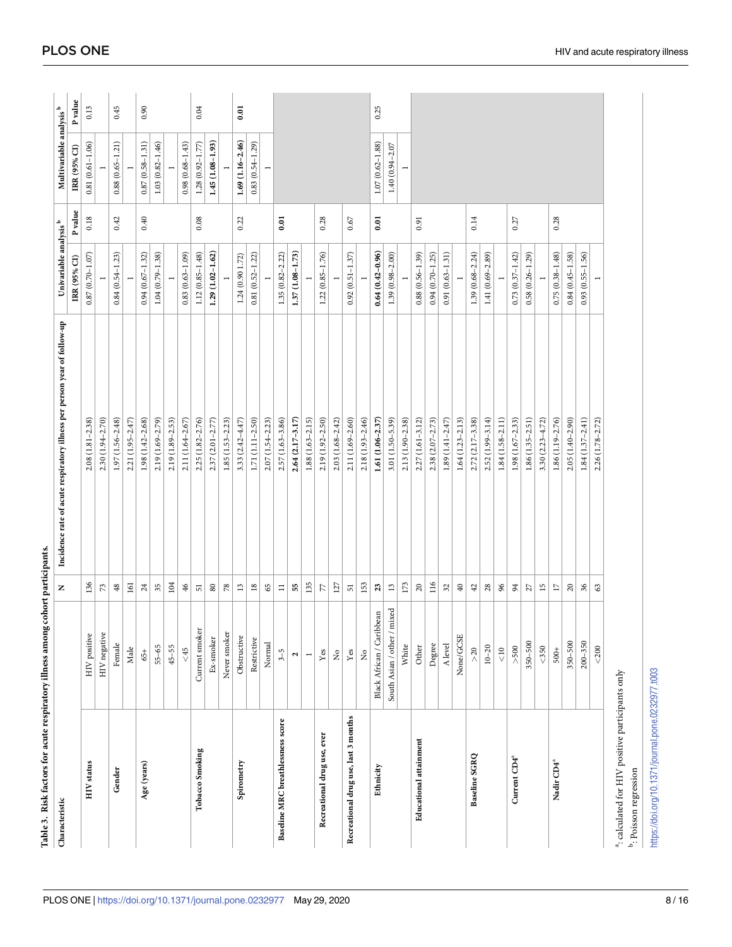<span id="page-7-0"></span>

| $2.64(2.17 - 3.17)$<br>$1.61(1.06 - 2.37)$<br>$2.52(1.99 - 3.14)$<br>$2.21(1.95 - 2.47)$<br>2.19 (1.69 - 2.79)<br>2.19 (1.89-2.53)<br>$2.11(1.64 - 2.67)$<br>$1.85(1.53 - 2.23)$<br>$3.33(2.42 - 4.47)$<br>$2.07(1.54 - 2.23)$<br>$2.57(1.63 - 3.86)$<br>$2.19(1.92 - 2.50)$<br>$2.03(1.68 - 2.42)$<br>2.11 (1.69-2.60)<br>$2.18(1.93 - 2.46)$<br>2.13 (1.90-2.38)<br>$2.38(2.07 - 2.73)$<br>$1.84(1.58 - 2.11)$<br>$1.98(1.67 - 2.33)$<br>$1.86(1.35 - 2.51)$<br>$1.86(1.19 - 2.76)$<br>$2.08(1.81 - 2.38)$<br>$2.30(1.94 - 2.70)$<br>$1.97(1.56 - 2.48)$<br>$2.25(1.82 - 2.76)$<br>$2.37(2.01 - 2.77)$<br>$1.71(1.11 - 2.50)$<br>$1.88(1.63 - 2.15)$<br>3.01 (1.50-5.39)<br>$2.27(1.61-3.12)$<br>$1.89(1.41 - 2.47)$<br>$1.64(1.23 - 2.13)$<br>$2.72(2.17-3.38)$<br>$3.30(2.23 - 4.72)$<br>$1.98(1.42 - 2.68)$<br>116<br>136<br>104<br>135<br>173<br>127<br>153<br>161<br>35<br>46<br>55<br>23<br>$13\,$<br>$40\,$<br>$28$<br>$96$<br>$94$<br>15<br>$73\,$<br>$48$<br>$_{\rm 80}$<br>$\sqrt{2}$<br>$13\,$<br>$18\,$<br>65<br>77<br>$\overline{5}$<br>$20\,$<br>$32\,$<br>$42$<br>$27\,$<br>$\overline{\phantom{0}}$<br>$^{24}$<br>51<br>$\Xi$<br>South Asian / other / mixed<br>Black African / Caribbean<br>Current smoker<br>Never smoker<br>HIV negative<br>HIV positive<br>None/GCSE<br>Obstructive<br>$Ex$ -smoker<br>Restrictive<br>350-500<br>Female<br>Normal<br>Degree<br>A level<br>White<br>$55 - 65$<br>$45 - 55$<br>$10 - 20$<br>Other<br>$>500$<br>$<$ 350 $\,$<br>Male<br>$500+$<br>58<br>$\lesssim10$<br>${>}20$<br>$3 - 5$<br>${\it Yes}$<br>å<br>$65+$<br>Yes<br>$\stackrel{\mathtt{o}}{\mathtt{x}}$<br>$\mathbf{z}$<br>$\overline{a}$<br>Recreational drug use, last 3 months<br>Baseline MRC breathlessness score<br>Recreational drug use, ever<br><b>Educational attainment</b><br>Tobacco Smoking<br><b>Baseline SGRQ</b><br>Current CD4 <sup>ª</sup><br>Nadir CD4 <sup>ª</sup><br>Spirometry<br><b>HIV</b> status<br>Age (years)<br>Ethnicity<br>Gender | P value<br>0.18<br>0.42<br>0.40<br>$0.08\,$<br>0.22<br>0.01<br>$1.37(1.08 - 1.73)$<br>$1.29(1.02 - 1.62)$<br>$0.84(0.54 - 1.23)$<br>$0.83(0.63 - 1.09)$<br>$0.94(0.67 - 1.32)$<br>$1.04(0.79 - 1.38)$<br>$1.12(0.85 - 1.48)$<br>$0.81(0.52 - 1.22)$<br>$1.35(0.82 - 2.22)$<br>$0.87(0.70 - 1.07)$<br>1.24(0.901.72)<br>IRR (95% CI) | $1.45(1.08-1.93)$<br>$0.88(0.65 - 1.21)$<br>$0.87(0.58 - 1.31)$<br>$0.98(0.68 - 1.43)$<br>$0.81(0.61 - 1.06)$<br>$1.03(0.82 - 1.46)$<br>$1.28(0.92 - 1.77)$<br>IRR (95% CI) | P value<br>0.13<br>0.45<br>0.90<br>0.04 |
|-----------------------------------------------------------------------------------------------------------------------------------------------------------------------------------------------------------------------------------------------------------------------------------------------------------------------------------------------------------------------------------------------------------------------------------------------------------------------------------------------------------------------------------------------------------------------------------------------------------------------------------------------------------------------------------------------------------------------------------------------------------------------------------------------------------------------------------------------------------------------------------------------------------------------------------------------------------------------------------------------------------------------------------------------------------------------------------------------------------------------------------------------------------------------------------------------------------------------------------------------------------------------------------------------------------------------------------------------------------------------------------------------------------------------------------------------------------------------------------------------------------------------------------------------------------------------------------------------------------------------------------------------------------------------------------------------------------------------------------------------------------------------------------------------------------------------------------------------------------------------------------------------------------------------------------------------------------------------------------|-------------------------------------------------------------------------------------------------------------------------------------------------------------------------------------------------------------------------------------------------------------------------------------------------------------------------------------|-----------------------------------------------------------------------------------------------------------------------------------------------------------------------------|-----------------------------------------|
|                                                                                                                                                                                                                                                                                                                                                                                                                                                                                                                                                                                                                                                                                                                                                                                                                                                                                                                                                                                                                                                                                                                                                                                                                                                                                                                                                                                                                                                                                                                                                                                                                                                                                                                                                                                                                                                                                                                                                                                   |                                                                                                                                                                                                                                                                                                                                     |                                                                                                                                                                             |                                         |
|                                                                                                                                                                                                                                                                                                                                                                                                                                                                                                                                                                                                                                                                                                                                                                                                                                                                                                                                                                                                                                                                                                                                                                                                                                                                                                                                                                                                                                                                                                                                                                                                                                                                                                                                                                                                                                                                                                                                                                                   |                                                                                                                                                                                                                                                                                                                                     |                                                                                                                                                                             |                                         |
|                                                                                                                                                                                                                                                                                                                                                                                                                                                                                                                                                                                                                                                                                                                                                                                                                                                                                                                                                                                                                                                                                                                                                                                                                                                                                                                                                                                                                                                                                                                                                                                                                                                                                                                                                                                                                                                                                                                                                                                   |                                                                                                                                                                                                                                                                                                                                     |                                                                                                                                                                             |                                         |
|                                                                                                                                                                                                                                                                                                                                                                                                                                                                                                                                                                                                                                                                                                                                                                                                                                                                                                                                                                                                                                                                                                                                                                                                                                                                                                                                                                                                                                                                                                                                                                                                                                                                                                                                                                                                                                                                                                                                                                                   |                                                                                                                                                                                                                                                                                                                                     |                                                                                                                                                                             |                                         |
|                                                                                                                                                                                                                                                                                                                                                                                                                                                                                                                                                                                                                                                                                                                                                                                                                                                                                                                                                                                                                                                                                                                                                                                                                                                                                                                                                                                                                                                                                                                                                                                                                                                                                                                                                                                                                                                                                                                                                                                   |                                                                                                                                                                                                                                                                                                                                     |                                                                                                                                                                             |                                         |
|                                                                                                                                                                                                                                                                                                                                                                                                                                                                                                                                                                                                                                                                                                                                                                                                                                                                                                                                                                                                                                                                                                                                                                                                                                                                                                                                                                                                                                                                                                                                                                                                                                                                                                                                                                                                                                                                                                                                                                                   |                                                                                                                                                                                                                                                                                                                                     |                                                                                                                                                                             |                                         |
|                                                                                                                                                                                                                                                                                                                                                                                                                                                                                                                                                                                                                                                                                                                                                                                                                                                                                                                                                                                                                                                                                                                                                                                                                                                                                                                                                                                                                                                                                                                                                                                                                                                                                                                                                                                                                                                                                                                                                                                   |                                                                                                                                                                                                                                                                                                                                     |                                                                                                                                                                             |                                         |
|                                                                                                                                                                                                                                                                                                                                                                                                                                                                                                                                                                                                                                                                                                                                                                                                                                                                                                                                                                                                                                                                                                                                                                                                                                                                                                                                                                                                                                                                                                                                                                                                                                                                                                                                                                                                                                                                                                                                                                                   |                                                                                                                                                                                                                                                                                                                                     |                                                                                                                                                                             |                                         |
|                                                                                                                                                                                                                                                                                                                                                                                                                                                                                                                                                                                                                                                                                                                                                                                                                                                                                                                                                                                                                                                                                                                                                                                                                                                                                                                                                                                                                                                                                                                                                                                                                                                                                                                                                                                                                                                                                                                                                                                   |                                                                                                                                                                                                                                                                                                                                     |                                                                                                                                                                             |                                         |
|                                                                                                                                                                                                                                                                                                                                                                                                                                                                                                                                                                                                                                                                                                                                                                                                                                                                                                                                                                                                                                                                                                                                                                                                                                                                                                                                                                                                                                                                                                                                                                                                                                                                                                                                                                                                                                                                                                                                                                                   |                                                                                                                                                                                                                                                                                                                                     |                                                                                                                                                                             |                                         |
|                                                                                                                                                                                                                                                                                                                                                                                                                                                                                                                                                                                                                                                                                                                                                                                                                                                                                                                                                                                                                                                                                                                                                                                                                                                                                                                                                                                                                                                                                                                                                                                                                                                                                                                                                                                                                                                                                                                                                                                   |                                                                                                                                                                                                                                                                                                                                     |                                                                                                                                                                             |                                         |
|                                                                                                                                                                                                                                                                                                                                                                                                                                                                                                                                                                                                                                                                                                                                                                                                                                                                                                                                                                                                                                                                                                                                                                                                                                                                                                                                                                                                                                                                                                                                                                                                                                                                                                                                                                                                                                                                                                                                                                                   |                                                                                                                                                                                                                                                                                                                                     |                                                                                                                                                                             |                                         |
|                                                                                                                                                                                                                                                                                                                                                                                                                                                                                                                                                                                                                                                                                                                                                                                                                                                                                                                                                                                                                                                                                                                                                                                                                                                                                                                                                                                                                                                                                                                                                                                                                                                                                                                                                                                                                                                                                                                                                                                   |                                                                                                                                                                                                                                                                                                                                     | $1.69(1.16 - 2.46)$                                                                                                                                                         | 0.01                                    |
|                                                                                                                                                                                                                                                                                                                                                                                                                                                                                                                                                                                                                                                                                                                                                                                                                                                                                                                                                                                                                                                                                                                                                                                                                                                                                                                                                                                                                                                                                                                                                                                                                                                                                                                                                                                                                                                                                                                                                                                   |                                                                                                                                                                                                                                                                                                                                     | $0.83(0.54 - 1.29)$                                                                                                                                                         |                                         |
|                                                                                                                                                                                                                                                                                                                                                                                                                                                                                                                                                                                                                                                                                                                                                                                                                                                                                                                                                                                                                                                                                                                                                                                                                                                                                                                                                                                                                                                                                                                                                                                                                                                                                                                                                                                                                                                                                                                                                                                   |                                                                                                                                                                                                                                                                                                                                     |                                                                                                                                                                             |                                         |
|                                                                                                                                                                                                                                                                                                                                                                                                                                                                                                                                                                                                                                                                                                                                                                                                                                                                                                                                                                                                                                                                                                                                                                                                                                                                                                                                                                                                                                                                                                                                                                                                                                                                                                                                                                                                                                                                                                                                                                                   |                                                                                                                                                                                                                                                                                                                                     |                                                                                                                                                                             |                                         |
|                                                                                                                                                                                                                                                                                                                                                                                                                                                                                                                                                                                                                                                                                                                                                                                                                                                                                                                                                                                                                                                                                                                                                                                                                                                                                                                                                                                                                                                                                                                                                                                                                                                                                                                                                                                                                                                                                                                                                                                   |                                                                                                                                                                                                                                                                                                                                     |                                                                                                                                                                             |                                         |
|                                                                                                                                                                                                                                                                                                                                                                                                                                                                                                                                                                                                                                                                                                                                                                                                                                                                                                                                                                                                                                                                                                                                                                                                                                                                                                                                                                                                                                                                                                                                                                                                                                                                                                                                                                                                                                                                                                                                                                                   |                                                                                                                                                                                                                                                                                                                                     |                                                                                                                                                                             |                                         |
|                                                                                                                                                                                                                                                                                                                                                                                                                                                                                                                                                                                                                                                                                                                                                                                                                                                                                                                                                                                                                                                                                                                                                                                                                                                                                                                                                                                                                                                                                                                                                                                                                                                                                                                                                                                                                                                                                                                                                                                   | 0.28<br>$1.22(0.85 - 1.76)$                                                                                                                                                                                                                                                                                                         |                                                                                                                                                                             |                                         |
|                                                                                                                                                                                                                                                                                                                                                                                                                                                                                                                                                                                                                                                                                                                                                                                                                                                                                                                                                                                                                                                                                                                                                                                                                                                                                                                                                                                                                                                                                                                                                                                                                                                                                                                                                                                                                                                                                                                                                                                   |                                                                                                                                                                                                                                                                                                                                     |                                                                                                                                                                             |                                         |
|                                                                                                                                                                                                                                                                                                                                                                                                                                                                                                                                                                                                                                                                                                                                                                                                                                                                                                                                                                                                                                                                                                                                                                                                                                                                                                                                                                                                                                                                                                                                                                                                                                                                                                                                                                                                                                                                                                                                                                                   | 0.67<br>$0.92(0.51 - 1.37)$                                                                                                                                                                                                                                                                                                         |                                                                                                                                                                             |                                         |
|                                                                                                                                                                                                                                                                                                                                                                                                                                                                                                                                                                                                                                                                                                                                                                                                                                                                                                                                                                                                                                                                                                                                                                                                                                                                                                                                                                                                                                                                                                                                                                                                                                                                                                                                                                                                                                                                                                                                                                                   |                                                                                                                                                                                                                                                                                                                                     |                                                                                                                                                                             |                                         |
|                                                                                                                                                                                                                                                                                                                                                                                                                                                                                                                                                                                                                                                                                                                                                                                                                                                                                                                                                                                                                                                                                                                                                                                                                                                                                                                                                                                                                                                                                                                                                                                                                                                                                                                                                                                                                                                                                                                                                                                   | 0.01<br>$0.64(0.42 - 0.96)$                                                                                                                                                                                                                                                                                                         | $1.07(0.62 - 1.88)$                                                                                                                                                         | 0.25                                    |
|                                                                                                                                                                                                                                                                                                                                                                                                                                                                                                                                                                                                                                                                                                                                                                                                                                                                                                                                                                                                                                                                                                                                                                                                                                                                                                                                                                                                                                                                                                                                                                                                                                                                                                                                                                                                                                                                                                                                                                                   | $1.39(0.98 - 2.00)$                                                                                                                                                                                                                                                                                                                 | 1.40 (0.94-2.07                                                                                                                                                             |                                         |
|                                                                                                                                                                                                                                                                                                                                                                                                                                                                                                                                                                                                                                                                                                                                                                                                                                                                                                                                                                                                                                                                                                                                                                                                                                                                                                                                                                                                                                                                                                                                                                                                                                                                                                                                                                                                                                                                                                                                                                                   |                                                                                                                                                                                                                                                                                                                                     |                                                                                                                                                                             |                                         |
|                                                                                                                                                                                                                                                                                                                                                                                                                                                                                                                                                                                                                                                                                                                                                                                                                                                                                                                                                                                                                                                                                                                                                                                                                                                                                                                                                                                                                                                                                                                                                                                                                                                                                                                                                                                                                                                                                                                                                                                   | 0.91<br>$0.88(0.56 - 1.39)$                                                                                                                                                                                                                                                                                                         |                                                                                                                                                                             |                                         |
|                                                                                                                                                                                                                                                                                                                                                                                                                                                                                                                                                                                                                                                                                                                                                                                                                                                                                                                                                                                                                                                                                                                                                                                                                                                                                                                                                                                                                                                                                                                                                                                                                                                                                                                                                                                                                                                                                                                                                                                   | $0.94(0.70 - 1.25)$                                                                                                                                                                                                                                                                                                                 |                                                                                                                                                                             |                                         |
|                                                                                                                                                                                                                                                                                                                                                                                                                                                                                                                                                                                                                                                                                                                                                                                                                                                                                                                                                                                                                                                                                                                                                                                                                                                                                                                                                                                                                                                                                                                                                                                                                                                                                                                                                                                                                                                                                                                                                                                   | $0.91(0.63 - 1.31)$                                                                                                                                                                                                                                                                                                                 |                                                                                                                                                                             |                                         |
|                                                                                                                                                                                                                                                                                                                                                                                                                                                                                                                                                                                                                                                                                                                                                                                                                                                                                                                                                                                                                                                                                                                                                                                                                                                                                                                                                                                                                                                                                                                                                                                                                                                                                                                                                                                                                                                                                                                                                                                   |                                                                                                                                                                                                                                                                                                                                     |                                                                                                                                                                             |                                         |
|                                                                                                                                                                                                                                                                                                                                                                                                                                                                                                                                                                                                                                                                                                                                                                                                                                                                                                                                                                                                                                                                                                                                                                                                                                                                                                                                                                                                                                                                                                                                                                                                                                                                                                                                                                                                                                                                                                                                                                                   | 0.14<br>$1.39(0.68 - 2.24)$                                                                                                                                                                                                                                                                                                         |                                                                                                                                                                             |                                         |
|                                                                                                                                                                                                                                                                                                                                                                                                                                                                                                                                                                                                                                                                                                                                                                                                                                                                                                                                                                                                                                                                                                                                                                                                                                                                                                                                                                                                                                                                                                                                                                                                                                                                                                                                                                                                                                                                                                                                                                                   | 1.41 $(0.69 - 2.89)$                                                                                                                                                                                                                                                                                                                |                                                                                                                                                                             |                                         |
|                                                                                                                                                                                                                                                                                                                                                                                                                                                                                                                                                                                                                                                                                                                                                                                                                                                                                                                                                                                                                                                                                                                                                                                                                                                                                                                                                                                                                                                                                                                                                                                                                                                                                                                                                                                                                                                                                                                                                                                   |                                                                                                                                                                                                                                                                                                                                     |                                                                                                                                                                             |                                         |
|                                                                                                                                                                                                                                                                                                                                                                                                                                                                                                                                                                                                                                                                                                                                                                                                                                                                                                                                                                                                                                                                                                                                                                                                                                                                                                                                                                                                                                                                                                                                                                                                                                                                                                                                                                                                                                                                                                                                                                                   | 0.27<br>$0.73(0.37 - 1.42)$                                                                                                                                                                                                                                                                                                         |                                                                                                                                                                             |                                         |
|                                                                                                                                                                                                                                                                                                                                                                                                                                                                                                                                                                                                                                                                                                                                                                                                                                                                                                                                                                                                                                                                                                                                                                                                                                                                                                                                                                                                                                                                                                                                                                                                                                                                                                                                                                                                                                                                                                                                                                                   | $0.58(0.26 - 1.29)$                                                                                                                                                                                                                                                                                                                 |                                                                                                                                                                             |                                         |
|                                                                                                                                                                                                                                                                                                                                                                                                                                                                                                                                                                                                                                                                                                                                                                                                                                                                                                                                                                                                                                                                                                                                                                                                                                                                                                                                                                                                                                                                                                                                                                                                                                                                                                                                                                                                                                                                                                                                                                                   |                                                                                                                                                                                                                                                                                                                                     |                                                                                                                                                                             |                                         |
|                                                                                                                                                                                                                                                                                                                                                                                                                                                                                                                                                                                                                                                                                                                                                                                                                                                                                                                                                                                                                                                                                                                                                                                                                                                                                                                                                                                                                                                                                                                                                                                                                                                                                                                                                                                                                                                                                                                                                                                   | 0.28<br>$0.75(0.38 - 1.48)$                                                                                                                                                                                                                                                                                                         |                                                                                                                                                                             |                                         |
| $2.05(1.40-2.90)$<br>$20\,$<br>$350 - 500$                                                                                                                                                                                                                                                                                                                                                                                                                                                                                                                                                                                                                                                                                                                                                                                                                                                                                                                                                                                                                                                                                                                                                                                                                                                                                                                                                                                                                                                                                                                                                                                                                                                                                                                                                                                                                                                                                                                                        | $0.84(0.45 - 1.58)$                                                                                                                                                                                                                                                                                                                 |                                                                                                                                                                             |                                         |
| $1.84(1.37-2.41)$<br>36<br>$200 - 350$                                                                                                                                                                                                                                                                                                                                                                                                                                                                                                                                                                                                                                                                                                                                                                                                                                                                                                                                                                                                                                                                                                                                                                                                                                                                                                                                                                                                                                                                                                                                                                                                                                                                                                                                                                                                                                                                                                                                            | $0.93(0.55 - 1.56)$                                                                                                                                                                                                                                                                                                                 |                                                                                                                                                                             |                                         |
| 2.26 (1.78-2.72)<br>63<br>$<$ 200 $\,$                                                                                                                                                                                                                                                                                                                                                                                                                                                                                                                                                                                                                                                                                                                                                                                                                                                                                                                                                                                                                                                                                                                                                                                                                                                                                                                                                                                                                                                                                                                                                                                                                                                                                                                                                                                                                                                                                                                                            |                                                                                                                                                                                                                                                                                                                                     |                                                                                                                                                                             |                                         |

. `م

Poisson regression

<https://doi.org/10.1371/journal.pone.0232977.t003>

https://doi.org/10.1371/journal.pone.0232977.t003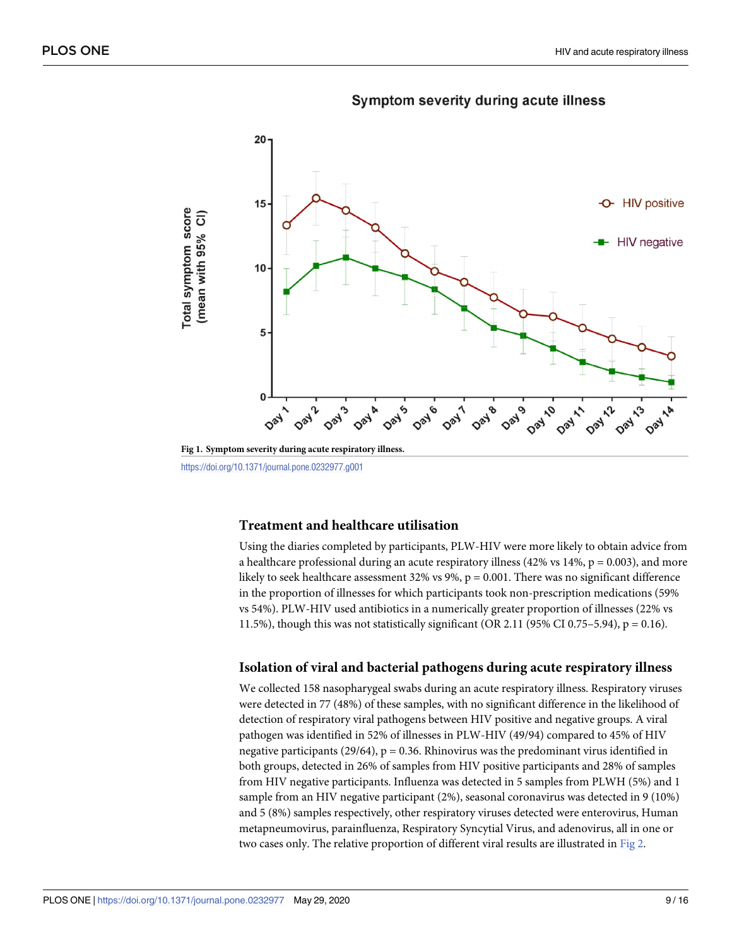<span id="page-8-0"></span>

Symptom severity during acute illness



# **Treatment and healthcare utilisation**

Using the diaries completed by participants, PLW-HIV were more likely to obtain advice from a healthcare professional during an acute respiratory illness (42% vs  $14\%$ , p = 0.003), and more likely to seek healthcare assessment 32% vs  $9\%$ ,  $p = 0.001$ . There was no significant difference in the proportion of illnesses for which participants took non-prescription medications (59% vs 54%). PLW-HIV used antibiotics in a numerically greater proportion of illnesses (22% vs 11.5%), though this was not statistically significant (OR 2.11 (95% CI 0.75–5.94),  $p = 0.16$ ).

#### **Isolation of viral and bacterial pathogens during acute respiratory illness**

We collected 158 nasopharygeal swabs during an acute respiratory illness. Respiratory viruses were detected in 77 (48%) of these samples, with no significant difference in the likelihood of detection of respiratory viral pathogens between HIV positive and negative groups. A viral pathogen was identified in 52% of illnesses in PLW-HIV (49/94) compared to 45% of HIV negative participants (29/64),  $p = 0.36$ . Rhinovirus was the predominant virus identified in both groups, detected in 26% of samples from HIV positive participants and 28% of samples from HIV negative participants. Influenza was detected in 5 samples from PLWH (5%) and 1 sample from an HIV negative participant (2%), seasonal coronavirus was detected in 9 (10%) and 5 (8%) samples respectively, other respiratory viruses detected were enterovirus, Human metapneumovirus, parainfluenza, Respiratory Syncytial Virus, and adenovirus, all in one or two cases only. The relative proportion of different viral results are illustrated in [Fig](#page-10-0) 2.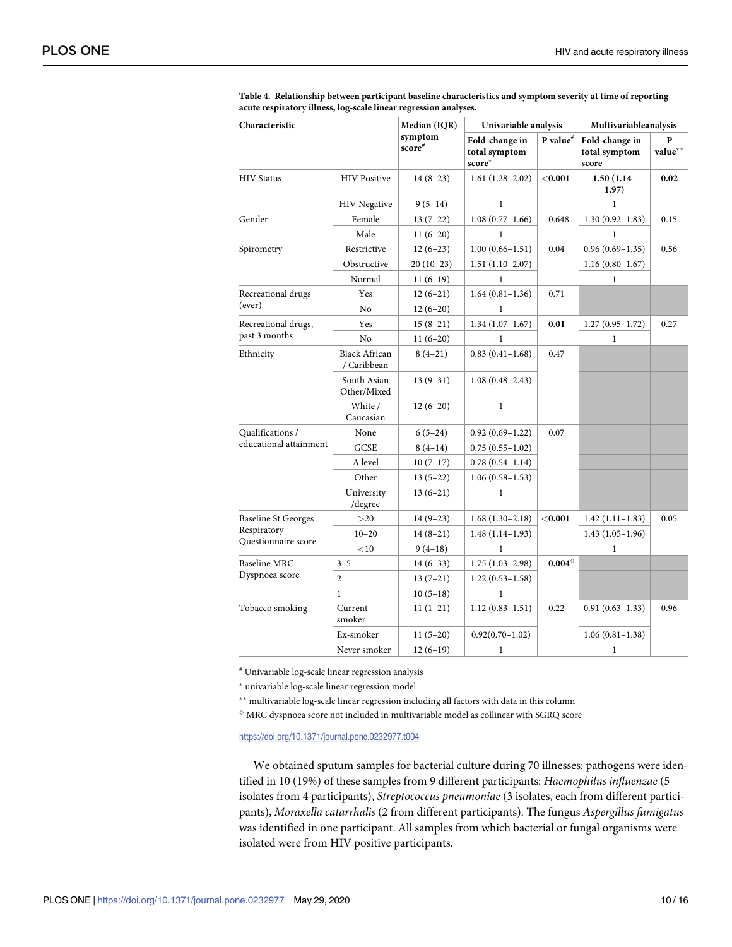| Characteristic                                                   |                                     | Median (IQR)<br>symptom<br>score# | Univariable analysis                      |                           | Multivariableanalysis                    |              |
|------------------------------------------------------------------|-------------------------------------|-----------------------------------|-------------------------------------------|---------------------------|------------------------------------------|--------------|
|                                                                  |                                     |                                   | Fold-change in<br>total symptom<br>score* | P value#                  | Fold-change in<br>total symptom<br>score | P<br>value** |
| <b>HIV</b> Status                                                | <b>HIV Positive</b>                 | $14(8-23)$                        | $1.61(1.28-2.02)$                         | < 0.001                   | $1.50(1.14-$<br>1.97)                    | 0.02         |
|                                                                  | <b>HIV</b> Negative                 | $9(5-14)$                         | 1                                         |                           | 1                                        |              |
| Gender                                                           | Female                              | $13(7-22)$                        | $1.08(0.77-1.66)$                         | 0.648                     | $1.30(0.92 - 1.83)$                      | 0.15         |
|                                                                  | Male                                | $11(6-20)$                        | 1                                         |                           | 1                                        |              |
| Spirometry                                                       | Restrictive                         | $12(6-23)$                        | $1.00(0.66 - 1.51)$                       | 0.04                      | $0.96(0.69 - 1.35)$                      | 0.56         |
|                                                                  | Obstructive                         | $20(10-23)$                       | $1.51(1.10-2.07)$                         |                           | $1.16(0.80 - 1.67)$                      |              |
|                                                                  | Normal                              | $11(6-19)$                        | 1                                         |                           | 1                                        |              |
| Recreational drugs                                               | Yes                                 | $12(6-21)$                        | $1.64(0.81-1.36)$                         | 0.71                      |                                          |              |
| (ever)                                                           | No                                  | $12(6-20)$                        | 1                                         |                           |                                          |              |
| Recreational drugs,                                              | Yes                                 | $15(8-21)$                        | $1.34(1.07-1.67)$                         | 0.01                      | $1.27(0.95 - 1.72)$                      | 0.27         |
| past 3 months                                                    | No                                  | $11(6-20)$                        | $\mathbf{1}$                              |                           | 1                                        |              |
| Ethnicity                                                        | <b>Black African</b><br>/ Caribbean | $8(4-21)$                         | $0.83(0.41 - 1.68)$                       | 0.47                      |                                          |              |
|                                                                  | South Asian<br>Other/Mixed          | $13(9-31)$                        | $1.08(0.48 - 2.43)$                       |                           |                                          |              |
|                                                                  | White /<br>Caucasian                | $12(6-20)$                        | 1                                         |                           |                                          |              |
| Qualifications /                                                 | None                                | $6(5-24)$                         | $0.92(0.69 - 1.22)$                       | 0.07                      |                                          |              |
| educational attainment                                           | GCSE                                | $8(4-14)$                         | $0.75(0.55-1.02)$                         |                           |                                          |              |
|                                                                  | A level                             | $10(7-17)$                        | $0.78(0.54-1.14)$                         |                           |                                          |              |
|                                                                  | Other                               | $13(5-22)$                        | $1.06(0.58 - 1.53)$                       |                           |                                          |              |
|                                                                  | University<br>/degree               | $13(6-21)$                        | $\mathbf{1}$                              |                           |                                          |              |
| <b>Baseline St Georges</b><br>Respiratory<br>Questionnaire score | >20                                 | $14(9-23)$                        | $1.68(1.30-2.18)$                         | ${<}0.001$                | $1.42(1.11-1.83)$                        | 0.05         |
|                                                                  | $10 - 20$                           | $14(8-21)$                        | $1.48(1.14-1.93)$                         |                           | $1.43(1.05-1.96)$                        |              |
|                                                                  | $<$ 10                              | $9(4-18)$                         | 1                                         |                           | 1                                        |              |
| <b>Baseline MRC</b><br>Dyspnoea score                            | $3 - 5$                             | $14(6-33)$                        | $1.75(1.03 - 2.98)$                       | $\mathbf{0.004}^\lozenge$ |                                          |              |
|                                                                  | $\overline{c}$                      | $13(7-21)$                        | $1.22(0.53 - 1.58)$                       |                           |                                          |              |
|                                                                  | $\mathbf{1}$                        | $10(5-18)$                        | $\mathbf{1}$                              |                           |                                          |              |
| Tobacco smoking                                                  | Current<br>smoker                   | $11(1-21)$                        | $1.12(0.83 - 1.51)$                       | 0.22                      | $0.91(0.63 - 1.33)$                      | 0.96         |
|                                                                  | Ex-smoker                           | $11(5-20)$                        | $0.92(0.70 - 1.02)$                       |                           | $1.06(0.81-1.38)$                        |              |
|                                                                  | Never smoker                        | $12(6-19)$                        | 1                                         |                           | 1                                        |              |

<span id="page-9-0"></span>**[Table](#page-6-0) 4. Relationship between participant baseline characteristics and symptom severity at time of reporting acute respiratory illness, log-scale linear regression analyses.**

 $\hspace{0.1mm}^*$ Univariable log-scale linear regression analysis

� univariable log-scale linear regression model

 $\hspace{0.1mm}^*$  multivariable log-scale linear regression including all factors with data in this column

 $^\diamond$  MRC dyspnoea score not included in multivariable model as collinear with SGRQ score

<https://doi.org/10.1371/journal.pone.0232977.t004>

We obtained sputum samples for bacterial culture during 70 illnesses: pathogens were identified in 10 (19%) of these samples from 9 different participants: *Haemophilus influenzae* (5 isolates from 4 participants), *Streptococcus pneumoniae* (3 isolates, each from different participants), *Moraxella catarrhalis* (2 from different participants). The fungus *Aspergillus fumigatus* was identified in one participant. All samples from which bacterial or fungal organisms were isolated were from HIV positive participants.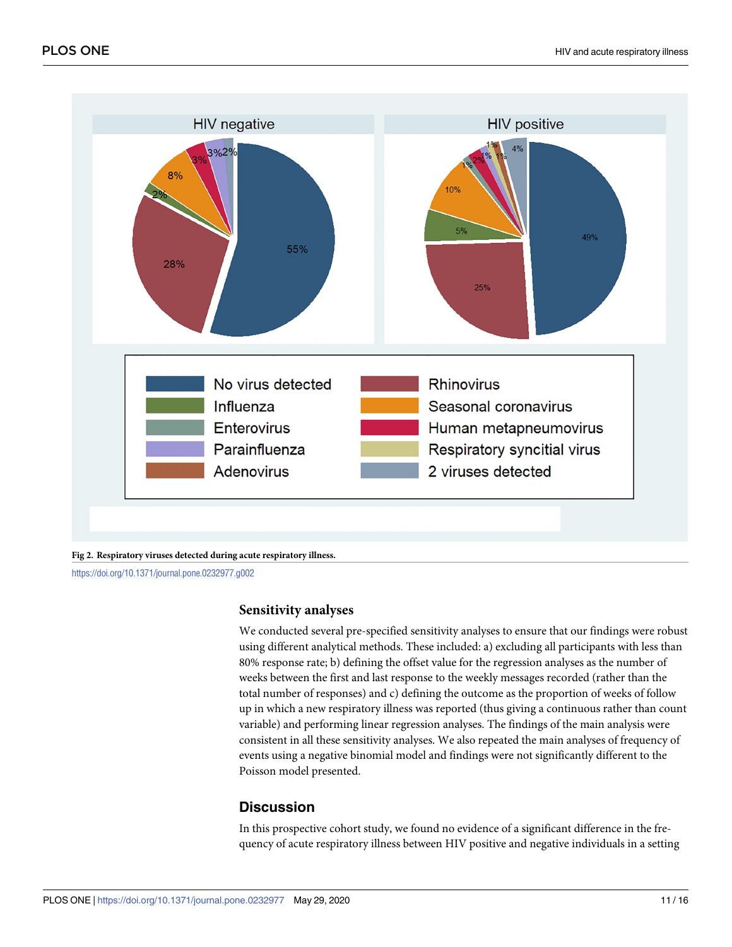<span id="page-10-0"></span>



<https://doi.org/10.1371/journal.pone.0232977.g002>

#### **Sensitivity analyses**

We conducted several pre-specified sensitivity analyses to ensure that our findings were robust using different analytical methods. These included: a) excluding all participants with less than 80% response rate; b) defining the offset value for the regression analyses as the number of weeks between the first and last response to the weekly messages recorded (rather than the total number of responses) and c) defining the outcome as the proportion of weeks of follow up in which a new respiratory illness was reported (thus giving a continuous rather than count variable) and performing linear regression analyses. The findings of the main analysis were consistent in all these sensitivity analyses. We also repeated the main analyses of frequency of events using a negative binomial model and findings were not significantly different to the Poisson model presented.

## **Discussion**

In this prospective cohort study, we found no evidence of a significant difference in the frequency of acute respiratory illness between HIV positive and negative individuals in a setting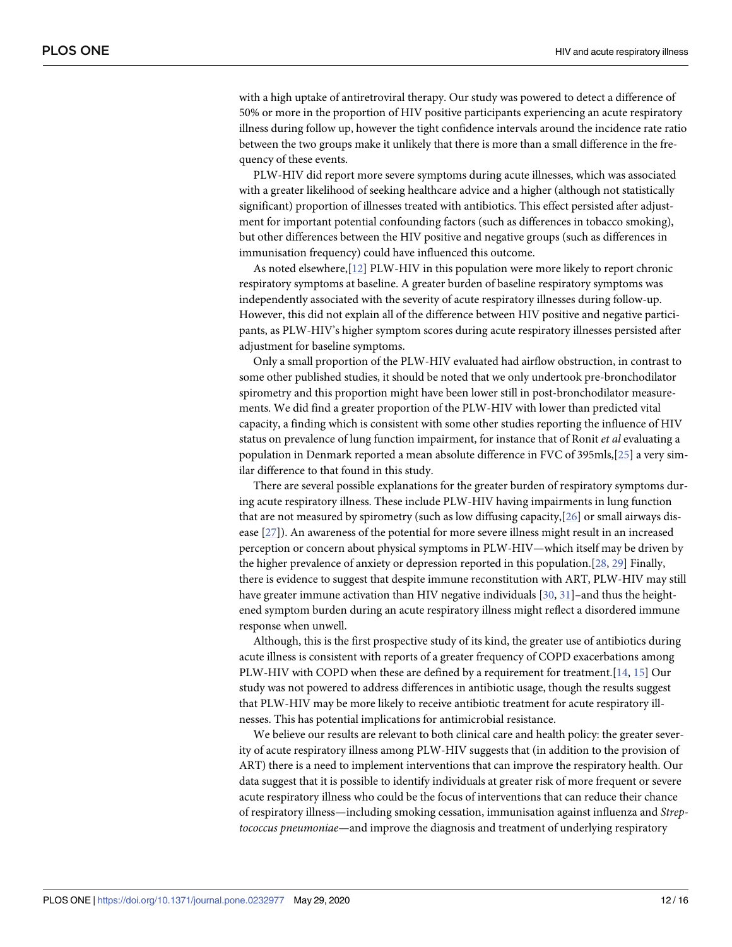<span id="page-11-0"></span>with a high uptake of antiretroviral therapy. Our study was powered to detect a difference of 50% or more in the proportion of HIV positive participants experiencing an acute respiratory illness during follow up, however the tight confidence intervals around the incidence rate ratio between the two groups make it unlikely that there is more than a small difference in the frequency of these events.

PLW-HIV did report more severe symptoms during acute illnesses, which was associated with a greater likelihood of seeking healthcare advice and a higher (although not statistically significant) proportion of illnesses treated with antibiotics. This effect persisted after adjustment for important potential confounding factors (such as differences in tobacco smoking), but other differences between the HIV positive and negative groups (such as differences in immunisation frequency) could have influenced this outcome.

As noted elsewhere,[\[12\]](#page-14-0) PLW-HIV in this population were more likely to report chronic respiratory symptoms at baseline. A greater burden of baseline respiratory symptoms was independently associated with the severity of acute respiratory illnesses during follow-up. However, this did not explain all of the difference between HIV positive and negative participants, as PLW-HIV's higher symptom scores during acute respiratory illnesses persisted after adjustment for baseline symptoms.

Only a small proportion of the PLW-HIV evaluated had airflow obstruction, in contrast to some other published studies, it should be noted that we only undertook pre-bronchodilator spirometry and this proportion might have been lower still in post-bronchodilator measurements. We did find a greater proportion of the PLW-HIV with lower than predicted vital capacity, a finding which is consistent with some other studies reporting the influence of HIV status on prevalence of lung function impairment, for instance that of Ronit *et al* evaluating a population in Denmark reported a mean absolute difference in FVC of 395mls,[\[25\]](#page-14-0) a very similar difference to that found in this study.

There are several possible explanations for the greater burden of respiratory symptoms during acute respiratory illness. These include PLW-HIV having impairments in lung function that are not measured by spirometry (such as low diffusing capacity,[\[26\]](#page-14-0) or small airways disease [\[27\]](#page-14-0)). An awareness of the potential for more severe illness might result in an increased perception or concern about physical symptoms in PLW-HIV—which itself may be driven by the higher prevalence of anxiety or depression reported in this population.[\[28,](#page-14-0) [29\]](#page-14-0) Finally, there is evidence to suggest that despite immune reconstitution with ART, PLW-HIV may still have greater immune activation than HIV negative individuals [\[30,](#page-15-0) [31\]](#page-15-0)-and thus the heightened symptom burden during an acute respiratory illness might reflect a disordered immune response when unwell.

Although, this is the first prospective study of its kind, the greater use of antibiotics during acute illness is consistent with reports of a greater frequency of COPD exacerbations among PLW-HIV with COPD when these are defined by a requirement for treatment.[[14](#page-14-0), [15](#page-14-0)] Our study was not powered to address differences in antibiotic usage, though the results suggest that PLW-HIV may be more likely to receive antibiotic treatment for acute respiratory illnesses. This has potential implications for antimicrobial resistance.

We believe our results are relevant to both clinical care and health policy: the greater severity of acute respiratory illness among PLW-HIV suggests that (in addition to the provision of ART) there is a need to implement interventions that can improve the respiratory health. Our data suggest that it is possible to identify individuals at greater risk of more frequent or severe acute respiratory illness who could be the focus of interventions that can reduce their chance of respiratory illness—including smoking cessation, immunisation against influenza and *Streptococcus pneumoniae*—and improve the diagnosis and treatment of underlying respiratory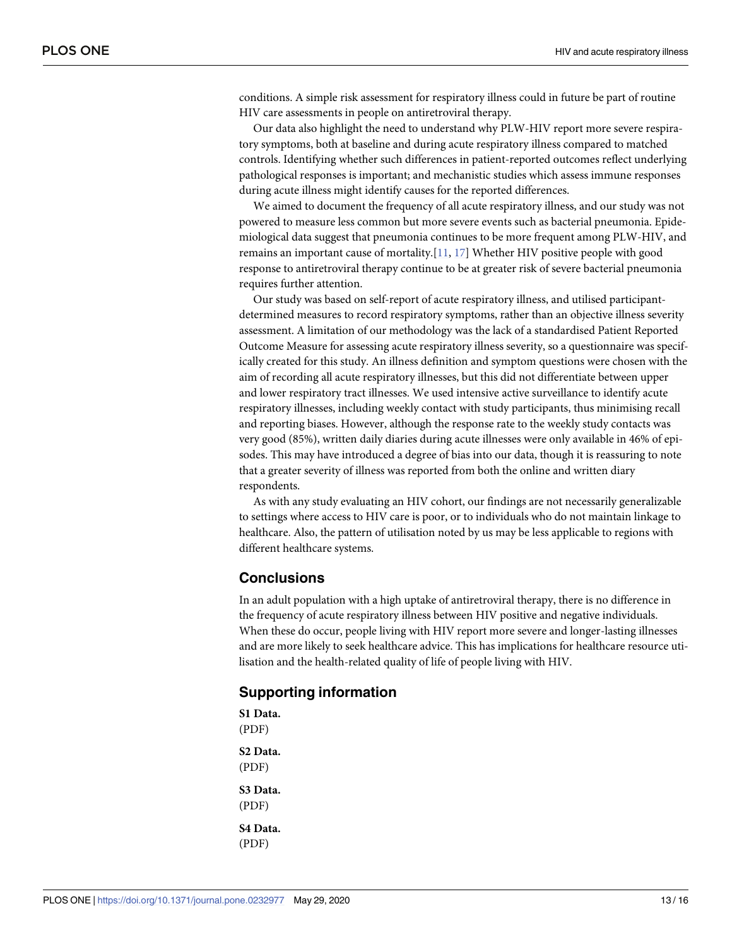conditions. A simple risk assessment for respiratory illness could in future be part of routine HIV care assessments in people on antiretroviral therapy.

Our data also highlight the need to understand why PLW-HIV report more severe respiratory symptoms, both at baseline and during acute respiratory illness compared to matched controls. Identifying whether such differences in patient-reported outcomes reflect underlying pathological responses is important; and mechanistic studies which assess immune responses during acute illness might identify causes for the reported differences.

We aimed to document the frequency of all acute respiratory illness, and our study was not powered to measure less common but more severe events such as bacterial pneumonia. Epidemiological data suggest that pneumonia continues to be more frequent among PLW-HIV, and remains an important cause of mortality.[[11](#page-14-0), [17](#page-14-0)] Whether HIV positive people with good response to antiretroviral therapy continue to be at greater risk of severe bacterial pneumonia requires further attention.

Our study was based on self-report of acute respiratory illness, and utilised participantdetermined measures to record respiratory symptoms, rather than an objective illness severity assessment. A limitation of our methodology was the lack of a standardised Patient Reported Outcome Measure for assessing acute respiratory illness severity, so a questionnaire was specifically created for this study. An illness definition and symptom questions were chosen with the aim of recording all acute respiratory illnesses, but this did not differentiate between upper and lower respiratory tract illnesses. We used intensive active surveillance to identify acute respiratory illnesses, including weekly contact with study participants, thus minimising recall and reporting biases. However, although the response rate to the weekly study contacts was very good (85%), written daily diaries during acute illnesses were only available in 46% of episodes. This may have introduced a degree of bias into our data, though it is reassuring to note that a greater severity of illness was reported from both the online and written diary respondents.

As with any study evaluating an HIV cohort, our findings are not necessarily generalizable to settings where access to HIV care is poor, or to individuals who do not maintain linkage to healthcare. Also, the pattern of utilisation noted by us may be less applicable to regions with different healthcare systems.

## **Conclusions**

In an adult population with a high uptake of antiretroviral therapy, there is no difference in the frequency of acute respiratory illness between HIV positive and negative individuals. When these do occur, people living with HIV report more severe and longer-lasting illnesses and are more likely to seek healthcare advice. This has implications for healthcare resource utilisation and the health-related quality of life of people living with HIV.

## **Supporting information**

**S1 [Data](http://www.plosone.org/article/fetchSingleRepresentation.action?uri=info:doi/10.1371/journal.pone.0232977.s001).** (PDF) **S2 [Data](http://www.plosone.org/article/fetchSingleRepresentation.action?uri=info:doi/10.1371/journal.pone.0232977.s002).** (PDF) **S3 [Data](http://www.plosone.org/article/fetchSingleRepresentation.action?uri=info:doi/10.1371/journal.pone.0232977.s003).** (PDF) **S4 [Data](http://www.plosone.org/article/fetchSingleRepresentation.action?uri=info:doi/10.1371/journal.pone.0232977.s004).** (PDF)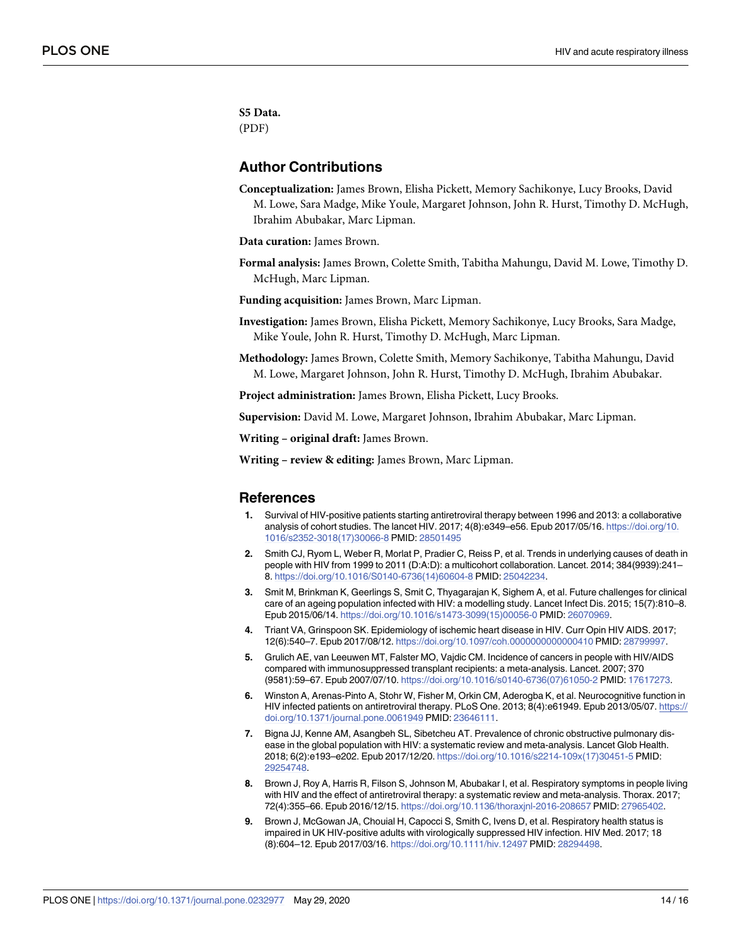<span id="page-13-0"></span>**S5 [Data](http://www.plosone.org/article/fetchSingleRepresentation.action?uri=info:doi/10.1371/journal.pone.0232977.s005).** (PDF)

## **Author Contributions**

**Conceptualization:** James Brown, Elisha Pickett, Memory Sachikonye, Lucy Brooks, David M. Lowe, Sara Madge, Mike Youle, Margaret Johnson, John R. Hurst, Timothy D. McHugh, Ibrahim Abubakar, Marc Lipman.

**Data curation:** James Brown.

**Formal analysis:** James Brown, Colette Smith, Tabitha Mahungu, David M. Lowe, Timothy D. McHugh, Marc Lipman.

**Funding acquisition:** James Brown, Marc Lipman.

- **Investigation:** James Brown, Elisha Pickett, Memory Sachikonye, Lucy Brooks, Sara Madge, Mike Youle, John R. Hurst, Timothy D. McHugh, Marc Lipman.
- **Methodology:** James Brown, Colette Smith, Memory Sachikonye, Tabitha Mahungu, David M. Lowe, Margaret Johnson, John R. Hurst, Timothy D. McHugh, Ibrahim Abubakar.

**Project administration:** James Brown, Elisha Pickett, Lucy Brooks.

**Supervision:** David M. Lowe, Margaret Johnson, Ibrahim Abubakar, Marc Lipman.

**Writing – original draft:** James Brown.

**Writing – review & editing:** James Brown, Marc Lipman.

#### **References**

- **[1](#page-1-0).** Survival of HIV-positive patients starting antiretroviral therapy between 1996 and 2013: a collaborative analysis of cohort studies. The lancet HIV. 2017; 4(8):e349–e56. Epub 2017/05/16. [https://doi.org/10.](https://doi.org/10.1016/s2352-3018(17)30066-8) [1016/s2352-3018\(17\)30066-8](https://doi.org/10.1016/s2352-3018(17)30066-8) PMID: [28501495](http://www.ncbi.nlm.nih.gov/pubmed/28501495)
- **[2](#page-1-0).** Smith CJ, Ryom L, Weber R, Morlat P, Pradier C, Reiss P, et al. Trends in underlying causes of death in people with HIV from 1999 to 2011 (D:A:D): a multicohort collaboration. Lancet. 2014; 384(9939):241– 8. [https://doi.org/10.1016/S0140-6736\(14\)60604-8](https://doi.org/10.1016/S0140-6736(14)60604-8) PMID: [25042234](http://www.ncbi.nlm.nih.gov/pubmed/25042234).
- **[3](#page-1-0).** Smit M, Brinkman K, Geerlings S, Smit C, Thyagarajan K, Sighem A, et al. Future challenges for clinical care of an ageing population infected with HIV: a modelling study. Lancet Infect Dis. 2015; 15(7):810–8. Epub 2015/06/14. [https://doi.org/10.1016/s1473-3099\(15\)00056-0](https://doi.org/10.1016/s1473-3099(15)00056-0) PMID: [26070969.](http://www.ncbi.nlm.nih.gov/pubmed/26070969)
- **[4](#page-1-0).** Triant VA, Grinspoon SK. Epidemiology of ischemic heart disease in HIV. Curr Opin HIV AIDS. 2017; 12(6):540–7. Epub 2017/08/12. <https://doi.org/10.1097/coh.0000000000000410> PMID: [28799997.](http://www.ncbi.nlm.nih.gov/pubmed/28799997)
- **5.** Grulich AE, van Leeuwen MT, Falster MO, Vajdic CM. Incidence of cancers in people with HIV/AIDS compared with immunosuppressed transplant recipients: a meta-analysis. Lancet. 2007; 370 (9581):59–67. Epub 2007/07/10. [https://doi.org/10.1016/s0140-6736\(07\)61050-2](https://doi.org/10.1016/s0140-6736(07)61050-2) PMID: [17617273.](http://www.ncbi.nlm.nih.gov/pubmed/17617273)
- **[6](#page-1-0).** Winston A, Arenas-Pinto A, Stohr W, Fisher M, Orkin CM, Aderogba K, et al. Neurocognitive function in HIV infected patients on antiretroviral therapy. PLoS One. 2013; 8(4):e61949. Epub 2013/05/07. [https://](https://doi.org/10.1371/journal.pone.0061949) [doi.org/10.1371/journal.pone.0061949](https://doi.org/10.1371/journal.pone.0061949) PMID: [23646111.](http://www.ncbi.nlm.nih.gov/pubmed/23646111)
- **[7](#page-1-0).** Bigna JJ, Kenne AM, Asangbeh SL, Sibetcheu AT. Prevalence of chronic obstructive pulmonary disease in the global population with HIV: a systematic review and meta-analysis. Lancet Glob Health. 2018; 6(2):e193–e202. Epub 2017/12/20. [https://doi.org/10.1016/s2214-109x\(17\)30451-5](https://doi.org/10.1016/s2214-109x(17)30451-5) PMID: [29254748](http://www.ncbi.nlm.nih.gov/pubmed/29254748).
- **[8](#page-1-0).** Brown J, Roy A, Harris R, Filson S, Johnson M, Abubakar I, et al. Respiratory symptoms in people living with HIV and the effect of antiretroviral therapy: a systematic review and meta-analysis. Thorax. 2017; 72(4):355–66. Epub 2016/12/15. <https://doi.org/10.1136/thoraxjnl-2016-208657> PMID: [27965402.](http://www.ncbi.nlm.nih.gov/pubmed/27965402)
- **[9](#page-1-0).** Brown J, McGowan JA, Chouial H, Capocci S, Smith C, Ivens D, et al. Respiratory health status is impaired in UK HIV-positive adults with virologically suppressed HIV infection. HIV Med. 2017; 18 (8):604–12. Epub 2017/03/16. <https://doi.org/10.1111/hiv.12497> PMID: [28294498.](http://www.ncbi.nlm.nih.gov/pubmed/28294498)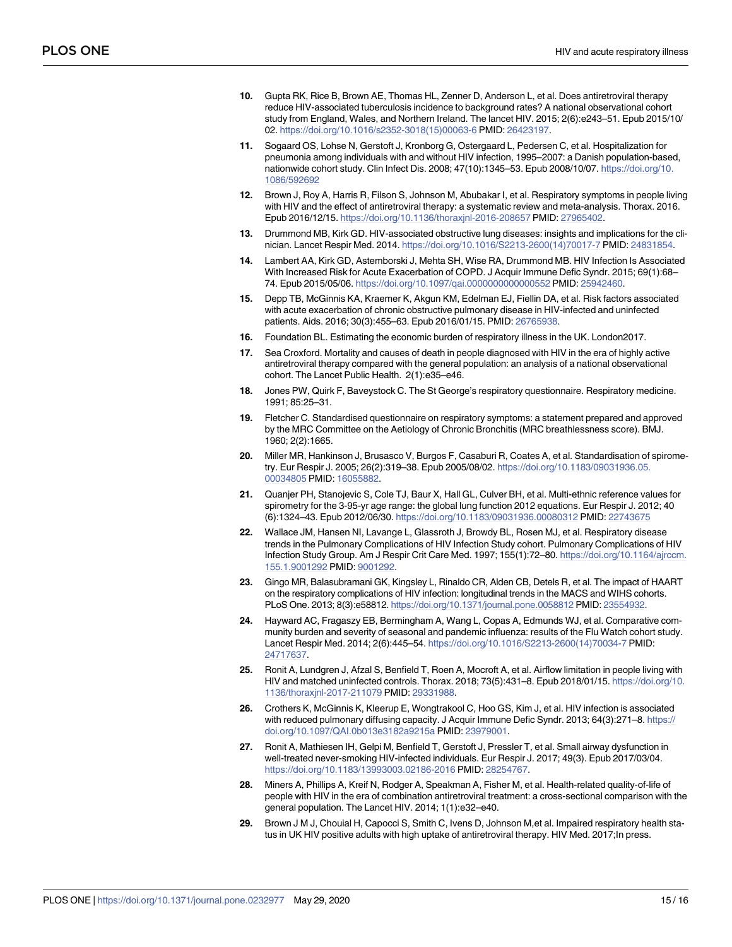- <span id="page-14-0"></span>**[10](#page-1-0).** Gupta RK, Rice B, Brown AE, Thomas HL, Zenner D, Anderson L, et al. Does antiretroviral therapy reduce HIV-associated tuberculosis incidence to background rates? A national observational cohort study from England, Wales, and Northern Ireland. The lancet HIV. 2015; 2(6):e243–51. Epub 2015/10/ 02. [https://doi.org/10.1016/s2352-3018\(15\)00063-6](https://doi.org/10.1016/s2352-3018(15)00063-6) PMID: [26423197](http://www.ncbi.nlm.nih.gov/pubmed/26423197).
- **[11](#page-1-0).** Sogaard OS, Lohse N, Gerstoft J, Kronborg G, Ostergaard L, Pedersen C, et al. Hospitalization for pneumonia among individuals with and without HIV infection, 1995–2007: a Danish population-based, nationwide cohort study. Clin Infect Dis. 2008; 47(10):1345–53. Epub 2008/10/07. [https://doi.org/10.](https://doi.org/10.1086/592692) [1086/592692](https://doi.org/10.1086/592692)
- **[12](#page-1-0).** Brown J, Roy A, Harris R, Filson S, Johnson M, Abubakar I, et al. Respiratory symptoms in people living with HIV and the effect of antiretroviral therapy: a systematic review and meta-analysis. Thorax. 2016. Epub 2016/12/15. <https://doi.org/10.1136/thoraxjnl-2016-208657> PMID: [27965402](http://www.ncbi.nlm.nih.gov/pubmed/27965402).
- **[13](#page-1-0).** Drummond MB, Kirk GD. HIV-associated obstructive lung diseases: insights and implications for the clinician. Lancet Respir Med. 2014. [https://doi.org/10.1016/S2213-2600\(14\)70017-7](https://doi.org/10.1016/S2213-2600(14)70017-7) PMID: [24831854.](http://www.ncbi.nlm.nih.gov/pubmed/24831854)
- **[14](#page-1-0).** Lambert AA, Kirk GD, Astemborski J, Mehta SH, Wise RA, Drummond MB. HIV Infection Is Associated With Increased Risk for Acute Exacerbation of COPD. J Acquir Immune Defic Syndr. 2015; 69(1):68– 74. Epub 2015/05/06. <https://doi.org/10.1097/qai.0000000000000552> PMID: [25942460.](http://www.ncbi.nlm.nih.gov/pubmed/25942460)
- **[15](#page-1-0).** Depp TB, McGinnis KA, Kraemer K, Akgun KM, Edelman EJ, Fiellin DA, et al. Risk factors associated with acute exacerbation of chronic obstructive pulmonary disease in HIV-infected and uninfected patients. Aids. 2016; 30(3):455–63. Epub 2016/01/15. PMID: [26765938](http://www.ncbi.nlm.nih.gov/pubmed/26765938).
- **[16](#page-1-0).** Foundation BL. Estimating the economic burden of respiratory illness in the UK. London2017.
- **[17](#page-2-0).** Sea Croxford. Mortality and causes of death in people diagnosed with HIV in the era of highly active antiretroviral therapy compared with the general population: an analysis of a national observational cohort. The Lancet Public Health. 2(1):e35–e46.
- **[18](#page-2-0).** Jones PW, Quirk F, Baveystock C. The St George's respiratory questionnaire. Respiratory medicine. 1991; 85:25–31.
- **[19](#page-2-0).** Fletcher C. Standardised questionnaire on respiratory symptoms: a statement prepared and approved by the MRC Committee on the Aetiology of Chronic Bronchitis (MRC breathlessness score). BMJ. 1960; 2(2):1665.
- **[20](#page-2-0).** Miller MR, Hankinson J, Brusasco V, Burgos F, Casaburi R, Coates A, et al. Standardisation of spirometry. Eur Respir J. 2005; 26(2):319–38. Epub 2005/08/02. [https://doi.org/10.1183/09031936.05.](https://doi.org/10.1183/09031936.05.00034805) [00034805](https://doi.org/10.1183/09031936.05.00034805) PMID: [16055882.](http://www.ncbi.nlm.nih.gov/pubmed/16055882)
- **[21](#page-2-0).** Quanjer PH, Stanojevic S, Cole TJ, Baur X, Hall GL, Culver BH, et al. Multi-ethnic reference values for spirometry for the 3-95-yr age range: the global lung function 2012 equations. Eur Respir J. 2012; 40 (6):1324–43. Epub 2012/06/30. <https://doi.org/10.1183/09031936.00080312> PMID: [22743675](http://www.ncbi.nlm.nih.gov/pubmed/22743675)
- **[22](#page-3-0).** Wallace JM, Hansen NI, Lavange L, Glassroth J, Browdy BL, Rosen MJ, et al. Respiratory disease trends in the Pulmonary Complications of HIV Infection Study cohort. Pulmonary Complications of HIV Infection Study Group. Am J Respir Crit Care Med. 1997; 155(1):72–80. [https://doi.org/10.1164/ajrccm.](https://doi.org/10.1164/ajrccm.155.1.9001292) [155.1.9001292](https://doi.org/10.1164/ajrccm.155.1.9001292) PMID: [9001292](http://www.ncbi.nlm.nih.gov/pubmed/9001292).
- **[23](#page-3-0).** Gingo MR, Balasubramani GK, Kingsley L, Rinaldo CR, Alden CB, Detels R, et al. The impact of HAART on the respiratory complications of HIV infection: longitudinal trends in the MACS and WIHS cohorts. PLoS One. 2013; 8(3):e58812. <https://doi.org/10.1371/journal.pone.0058812> PMID: [23554932](http://www.ncbi.nlm.nih.gov/pubmed/23554932).
- **[24](#page-3-0).** Hayward AC, Fragaszy EB, Bermingham A, Wang L, Copas A, Edmunds WJ, et al. Comparative community burden and severity of seasonal and pandemic influenza: results of the Flu Watch cohort study. Lancet Respir Med. 2014; 2(6):445–54. [https://doi.org/10.1016/S2213-2600\(14\)70034-7](https://doi.org/10.1016/S2213-2600(14)70034-7) PMID: [24717637](http://www.ncbi.nlm.nih.gov/pubmed/24717637).
- **[25](#page-11-0).** Ronit A, Lundgren J, Afzal S, Benfield T, Roen A, Mocroft A, et al. Airflow limitation in people living with HIV and matched uninfected controls. Thorax. 2018; 73(5):431–8. Epub 2018/01/15. [https://doi.org/10.](https://doi.org/10.1136/thoraxjnl-2017-211079) [1136/thoraxjnl-2017-211079](https://doi.org/10.1136/thoraxjnl-2017-211079) PMID: [29331988](http://www.ncbi.nlm.nih.gov/pubmed/29331988).
- **[26](#page-11-0).** Crothers K, McGinnis K, Kleerup E, Wongtrakool C, Hoo GS, Kim J, et al. HIV infection is associated with reduced pulmonary diffusing capacity. J Acquir Immune Defic Syndr. 2013; 64(3):271–8. [https://](https://doi.org/10.1097/QAI.0b013e3182a9215a) [doi.org/10.1097/QAI.0b013e3182a9215a](https://doi.org/10.1097/QAI.0b013e3182a9215a) PMID: [23979001](http://www.ncbi.nlm.nih.gov/pubmed/23979001).
- **[27](#page-11-0).** Ronit A, Mathiesen IH, Gelpi M, Benfield T, Gerstoft J, Pressler T, et al. Small airway dysfunction in well-treated never-smoking HIV-infected individuals. Eur Respir J. 2017; 49(3). Epub 2017/03/04. <https://doi.org/10.1183/13993003.02186-2016> PMID: [28254767](http://www.ncbi.nlm.nih.gov/pubmed/28254767).
- **[28](#page-11-0).** Miners A, Phillips A, Kreif N, Rodger A, Speakman A, Fisher M, et al. Health-related quality-of-life of people with HIV in the era of combination antiretroviral treatment: a cross-sectional comparison with the general population. The Lancet HIV. 2014; 1(1):e32–e40.
- **[29](#page-11-0).** Brown J M J, Chouial H, Capocci S, Smith C, Ivens D, Johnson M,et al. Impaired respiratory health status in UK HIV positive adults with high uptake of antiretroviral therapy. HIV Med. 2017;In press.